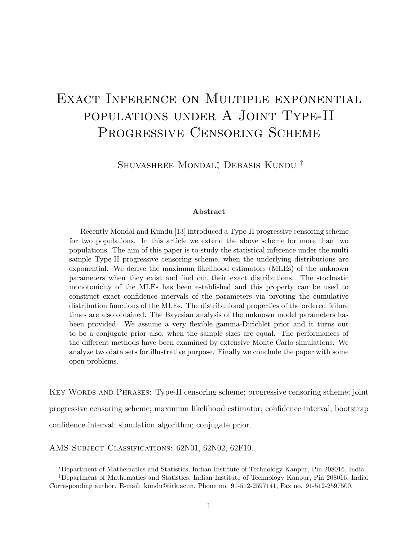# EXACT INFERENCE ON MULTIPLE EXPONENTIAL populations under A Joint Type-II PROGRESSIVE CENSORING SCHEME

Shuvashree Mondal<sup>∗</sup> , Debasis Kundu †

#### Abstract

Recently Mondal and Kundu [13] introduced a Type-II progressive censoring scheme for two populations. In this article we extend the above scheme for more than two populations. The aim of this paper is to study the statistical inference under the multi sample Type-II progressive censoring scheme, when the underlying distributions are exponential. We derive the maximum likelihood estimators (MLEs) of the unknown parameters when they exist and find out their exact distributions. The stochastic monotonicity of the MLEs has been established and this property can be used to construct exact confidence intervals of the parameters via pivoting the cumulative distribution functions of the MLEs. The distributional properties of the ordered failure times are also obtained. The Bayesian analysis of the unknown model parameters has been provided. We assume a very flexible gamma-Dirichlet prior and it turns out to be a conjugate prior also, when the sample sizes are equal. The performances of the different methods have been examined by extensive Monte Carlo simulations. We analyze two data sets for illustrative purpose. Finally we conclude the paper with some open problems.

Key Words and Phrases: Type-II censoring scheme; progressive censoring scheme; joint progressive censoring scheme; maximum likelihood estimator; confidence interval; bootstrap confidence interval; simulation algorithm; conjugate prior.

AMS Subject Classifications: 62N01, 62N02, 62F10.

<sup>∗</sup>Department of Mathematics and Statistics, Indian Institute of Technology Kanpur, Pin 208016, India.

<sup>†</sup>Department of Mathematics and Statistics, Indian Institute of Technology Kanpur, Pin 208016, India. Corresponding author. E-mail: kundu@iitk.ac.in, Phone no. 91-512-2597141, Fax no. 91-512-2597500.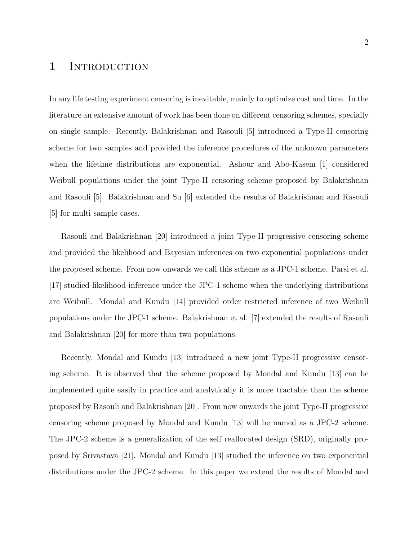# 1 INTRODUCTION

In any life testing experiment censoring is inevitable, mainly to optimize cost and time. In the literature an extensive amount of work has been done on different censoring schemes, specially on single sample. Recently, Balakrishnan and Rasouli [5] introduced a Type-II censoring scheme for two samples and provided the inference procedures of the unknown parameters when the lifetime distributions are exponential. Ashour and Abo-Kasem [1] considered Weibull populations under the joint Type-II censoring scheme proposed by Balakrishnan and Rasouli [5]. Balakrishnan and Su [6] extended the results of Balakrishnan and Rasouli [5] for multi sample cases.

Rasouli and Balakrishnan [20] introduced a joint Type-II progressive censoring scheme and provided the likelihood and Bayesian inferences on two exponential populations under the proposed scheme. From now onwards we call this scheme as a JPC-1 scheme. Parsi et al. [17] studied likelihood inference under the JPC-1 scheme when the underlying distributions are Weibull. Mondal and Kundu [14] provided order restricted inference of two Weibull populations under the JPC-1 scheme. Balakrishnan et al. [7] extended the results of Rasouli and Balakrishnan [20] for more than two populations.

Recently, Mondal and Kundu [13] introduced a new joint Type-II progressive censoring scheme. It is observed that the scheme proposed by Mondal and Kundu [13] can be implemented quite easily in practice and analytically it is more tractable than the scheme proposed by Rasouli and Balakrishnan [20]. From now onwards the joint Type-II progressive censoring scheme proposed by Mondal and Kundu [13] will be named as a JPC-2 scheme. The JPC-2 scheme is a generalization of the self reallocated design (SRD), originally proposed by Srivastava [21]. Mondal and Kundu [13] studied the inference on two exponential distributions under the JPC-2 scheme. In this paper we extend the results of Mondal and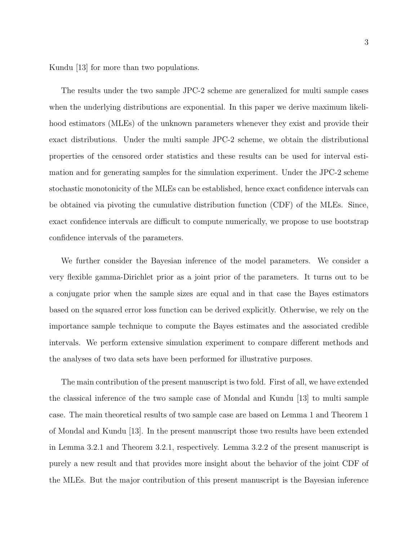Kundu [13] for more than two populations.

The results under the two sample JPC-2 scheme are generalized for multi sample cases when the underlying distributions are exponential. In this paper we derive maximum likelihood estimators (MLEs) of the unknown parameters whenever they exist and provide their exact distributions. Under the multi sample JPC-2 scheme, we obtain the distributional properties of the censored order statistics and these results can be used for interval estimation and for generating samples for the simulation experiment. Under the JPC-2 scheme stochastic monotonicity of the MLEs can be established, hence exact confidence intervals can be obtained via pivoting the cumulative distribution function (CDF) of the MLEs. Since, exact confidence intervals are difficult to compute numerically, we propose to use bootstrap confidence intervals of the parameters.

We further consider the Bayesian inference of the model parameters. We consider a very flexible gamma-Dirichlet prior as a joint prior of the parameters. It turns out to be a conjugate prior when the sample sizes are equal and in that case the Bayes estimators based on the squared error loss function can be derived explicitly. Otherwise, we rely on the importance sample technique to compute the Bayes estimates and the associated credible intervals. We perform extensive simulation experiment to compare different methods and the analyses of two data sets have been performed for illustrative purposes.

The main contribution of the present manuscript is two fold. First of all, we have extended the classical inference of the two sample case of Mondal and Kundu [13] to multi sample case. The main theoretical results of two sample case are based on Lemma 1 and Theorem 1 of Mondal and Kundu [13]. In the present manuscript those two results have been extended in Lemma 3.2.1 and Theorem 3.2.1, respectively. Lemma 3.2.2 of the present manuscript is purely a new result and that provides more insight about the behavior of the joint CDF of the MLEs. But the major contribution of this present manuscript is the Bayesian inference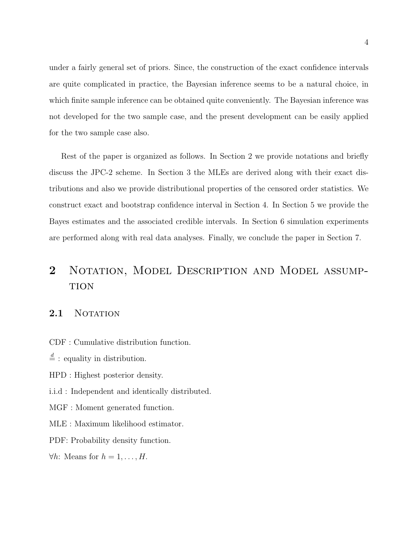under a fairly general set of priors. Since, the construction of the exact confidence intervals are quite complicated in practice, the Bayesian inference seems to be a natural choice, in which finite sample inference can be obtained quite conveniently. The Bayesian inference was not developed for the two sample case, and the present development can be easily applied for the two sample case also.

Rest of the paper is organized as follows. In Section 2 we provide notations and briefly discuss the JPC-2 scheme. In Section 3 the MLEs are derived along with their exact distributions and also we provide distributional properties of the censored order statistics. We construct exact and bootstrap confidence interval in Section 4. In Section 5 we provide the Bayes estimates and the associated credible intervals. In Section 6 simulation experiments are performed along with real data analyses. Finally, we conclude the paper in Section 7.

# 2 NOTATION, MODEL DESCRIPTION AND MODEL ASSUMP-**TION**

### 2.1 NOTATION

CDF : Cumulative distribution function.

 $\stackrel{d}{=}$ : equality in distribution.

HPD : Highest posterior density.

i.i.d : Independent and identically distributed.

MGF : Moment generated function.

MLE : Maximum likelihood estimator.

PDF: Probability density function.

 $\forall h$ : Means for  $h = 1, \ldots, H$ .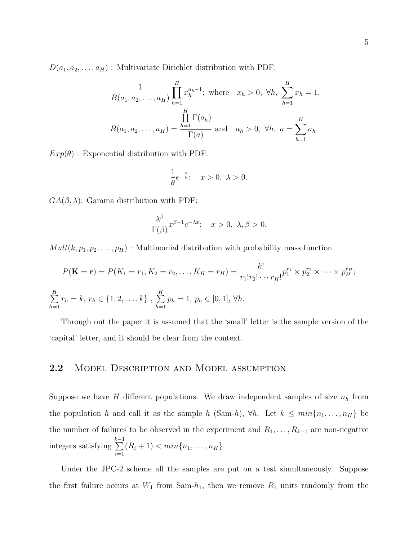$D(a_1, a_2, \ldots, a_H)$ : Multivariate Dirichlet distribution with PDF:

$$
\frac{1}{B(a_1, a_2, \dots, a_H)} \prod_{h=1}^H x_h^{a_h - 1}; \text{ where } x_h > 0, \forall h, \sum_{h=1}^H x_h = 1,
$$
  

$$
B(a_1, a_2, \dots, a_H) = \frac{\prod_{h=1}^H \Gamma(a_h)}{\Gamma(a)} \text{ and } a_h > 0, \forall h, a = \sum_{h=1}^H a_h.
$$

 $Exp(\theta)$ : Exponential distribution with PDF:

$$
\frac{1}{\theta}e^{-\frac{x}{\theta}};\quad x>0,\ \lambda>0.
$$

 $GA(\beta, \lambda)$ : Gamma distribution with PDF:

$$
\frac{\lambda^{\beta}}{\Gamma(\beta)} x^{\beta-1} e^{-\lambda x}; \quad x > 0, \ \lambda, \beta > 0.
$$

 $Mult(k, p_1, p_2, \ldots, p_H)$ : Multinomial distribution with probability mass function

$$
P(\mathbf{K} = \mathbf{r}) = P(K_1 = r_1, K_2 = r_2, \dots, K_H = r_H) = \frac{k!}{r_1! r_2! \cdots r_H!} p_1^{r_1} \times p_2^{r_2} \times \cdots \times p_H^{r_H};
$$
  

$$
\sum_{h=1}^H r_h = k, r_h \in \{1, 2, \dots, k\}, \sum_{h=1}^H p_h = 1, p_h \in [0, 1], \forall h.
$$

Through out the paper it is assumed that the 'small' letter is the sample version of the 'capital' letter, and it should be clear from the context.

## 2.2 MODEL DESCRIPTION AND MODEL ASSUMPTION

Suppose we have H different populations. We draw independent samples of size  $n_h$  from the population h and call it as the sample h (Sam-h),  $\forall h$ . Let  $k \leq min\{n_1, \ldots, n_H\}$  be the number of failures to be observed in the experiment and  $R_1, \ldots, R_{k-1}$  are non-negative integers satisfying  $\sum_{ }^{k-1}$  $i=1$  $(R_i + 1) < min\{n_1, \ldots, n_H\}.$ 

Under the JPC-2 scheme all the samples are put on a test simultaneously. Suppose the first failure occurs at  $W_1$  from Sam- $h_1$ , then we remove  $R_1$  units randomly from the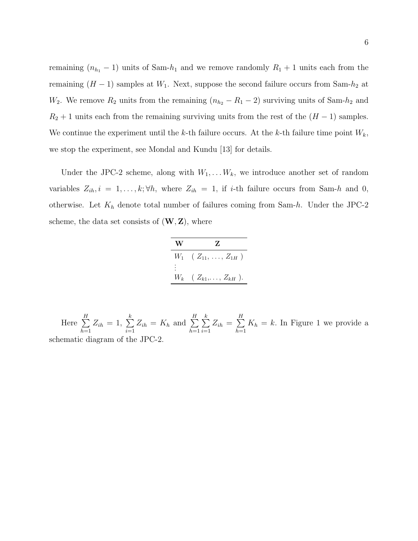remaining  $(n_{h_1} - 1)$  units of Sam- $h_1$  and we remove randomly  $R_1 + 1$  units each from the remaining  $(H-1)$  samples at  $W_1$ . Next, suppose the second failure occurs from Sam- $h_2$  at W<sub>2</sub>. We remove  $R_2$  units from the remaining  $(n_{h_2} - R_1 - 2)$  surviving units of Sam- $h_2$  and  $R_2 + 1$  units each from the remaining surviving units from the rest of the  $(H - 1)$  samples. We continue the experiment until the k-th failure occurs. At the k-th failure time point  $W_k$ , we stop the experiment, see Mondal and Kundu [13] for details.

Under the JPC-2 scheme, along with  $W_1, \ldots, W_k$ , we introduce another set of random variables  $Z_{ih}$ ,  $i = 1, ..., k; \forall h$ , where  $Z_{ih} = 1$ , if *i*-th failure occurs from Sam-h and 0, otherwise. Let  $K_h$  denote total number of failures coming from Sam-h. Under the JPC-2 scheme, the data set consists of  $(W, Z)$ , where

| W | Z                                   |
|---|-------------------------------------|
|   | $W_1$ ( $Z_{11}, \ldots, Z_{1H}$ )  |
|   | $W_k$ ( $Z_{k1}, \ldots, Z_{kH}$ ). |
|   |                                     |

Here  $\sum^H$  $h=1$  $Z_{ih} = 1, \sum_{i=1}^{k}$  $i=1$  $Z_{ih} = K_h$  and  $\sum^H$  $h=1$  $\sum_{i=1}^{k}$  $i=1$  $Z_{ih} = \sum\limits_{i=1}^{H}$  $h=1$  $K_h = k$ . In Figure 1 we provide a schematic diagram of the JPC-2.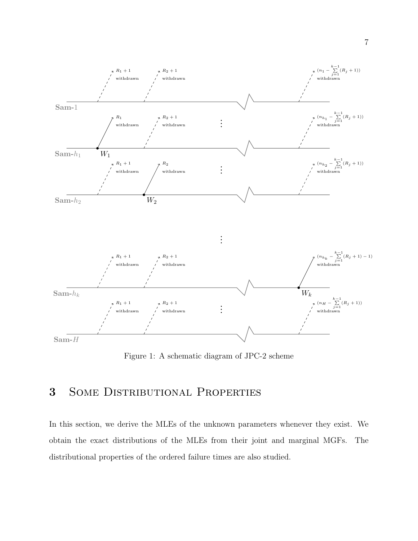

Figure 1: A schematic diagram of JPC-2 scheme

# 3 Some Distributional Properties

In this section, we derive the MLEs of the unknown parameters whenever they exist. We obtain the exact distributions of the MLEs from their joint and marginal MGFs. The distributional properties of the ordered failure times are also studied.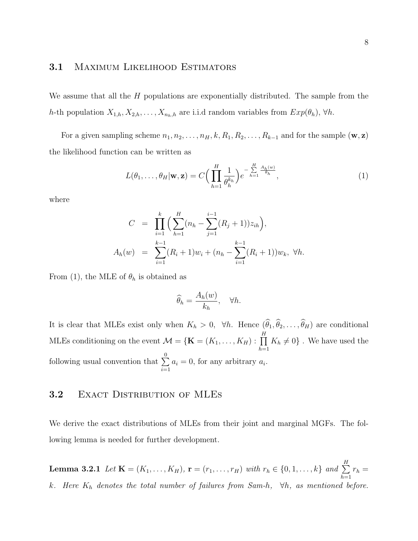## 3.1 MAXIMUM LIKELIHOOD ESTIMATORS

We assume that all the  $H$  populations are exponentially distributed. The sample from the h-th population  $X_{1,h}, X_{2,h}, \ldots, X_{n_h,h}$  are i.i.d random variables from  $Exp(\theta_h)$ ,  $\forall h$ .

For a given sampling scheme  $n_1, n_2, \ldots, n_H, k, R_1, R_2, \ldots, R_{k-1}$  and for the sample  $(\mathbf{w}, \mathbf{z})$ the likelihood function can be written as

$$
L(\theta_1, \dots, \theta_H | \mathbf{w}, \mathbf{z}) = C \Big( \prod_{h=1}^H \frac{1}{\theta_h^{k_h}} \Big) e^{-\sum\limits_{h=1}^H \frac{A_h(w)}{\theta_h}}, \tag{1}
$$

where

$$
C = \prod_{i=1}^{k} \left( \sum_{h=1}^{H} (n_h - \sum_{j=1}^{i-1} (R_j + 1)) z_{ih} \right),
$$
  

$$
A_h(w) = \sum_{i=1}^{k-1} (R_i + 1) w_i + (n_h - \sum_{i=1}^{k-1} (R_i + 1)) w_k, \forall h.
$$

From (1), the MLE of  $\theta_h$  is obtained as

$$
\widehat{\theta}_h = \frac{A_h(w)}{k_h}, \quad \forall h.
$$

It is clear that MLEs exist only when  $K_h > 0$ ,  $\forall h$ . Hence  $(\theta_1, \theta_2, \dots, \theta_H)$  are conditional MLEs conditioning on the event  $\mathcal{M} = \{ \mathbf{K} = (K_1, \dots, K_H) : \prod^H$  $h=1$  $K_h \neq 0$ . We have used the following usual convention that  $\sum_{n=1}^{\infty}$  $i=1$  $a_i = 0$ , for any arbitrary  $a_i$ .

## 3.2 EXACT DISTRIBUTION OF MLES

We derive the exact distributions of MLEs from their joint and marginal MGFs. The following lemma is needed for further development.

**Lemma 3.2.1** Let  $\mathbf{K} = (K_1, ..., K_H)$ ,  $\mathbf{r} = (r_1, ..., r_H)$  with  $r_h \in \{0, 1, ..., k\}$  and  $\sum^H$  $h=1$  $r_h =$ k. Here  $K_h$  denotes the total number of failures from Sam-h,  $\forall h$ , as mentioned before.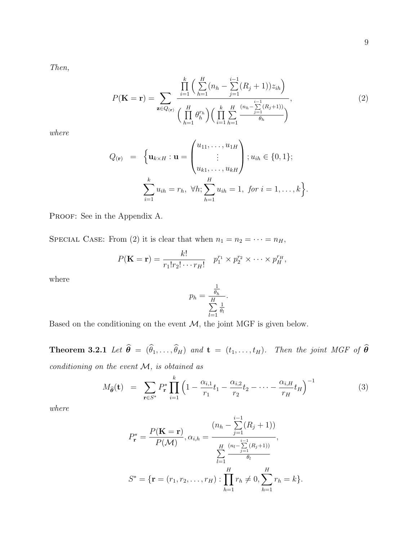Then,

$$
P(\mathbf{K} = \mathbf{r}) = \sum_{\mathbf{z} \in Q_{(\mathbf{r})}} \frac{\prod_{i=1}^{k} \left( \sum_{h=1}^{H} (n_h - \sum_{j=1}^{i-1} (R_j + 1)) z_{ih} \right)}{\left( \prod_{h=1}^{H} \theta_h^{r_h} \right) \left( \prod_{i=1}^{K} \sum_{h=1}^{H} \frac{(n_h - \sum_{j=1}^{i-1} (R_j + 1))}{\theta_h} \right)},
$$
\n(2)

.

where

$$
Q_{(\mathbf{r})} = \left\{ \mathbf{u}_{k \times H} : \mathbf{u} = \begin{pmatrix} u_{11}, \dots, u_{1H} \\ \vdots \\ u_{k1}, \dots, u_{kH} \end{pmatrix} ; u_{ih} \in \{0, 1\};
$$

$$
\sum_{i=1}^{k} u_{ih} = r_h, \forall h; \sum_{h=1}^{H} u_{ih} = 1, \text{ for } i = 1, \dots, k \right\}
$$

PROOF: See in the Appendix A.

SPECIAL CASE: From (2) it is clear that when  $n_1 = n_2 = \cdots = n_H$ ,

$$
P(\mathbf{K}=\mathbf{r})=\frac{k!}{r_1!r_2!\cdots r_H!} \quad p_1^{r_1}\times p_2^{r_2}\times\cdots\times p_H^{r_H},
$$

where

$$
p_h = \frac{\frac{1}{\theta_h}}{\sum_{l=1}^H \frac{1}{\theta_l}}.
$$

Based on the conditioning on the event  $M$ , the joint MGF is given below.

**Theorem 3.2.1** Let  $\widehat{\boldsymbol{\theta}} = (\widehat{\theta}_1, \dots, \widehat{\theta}_H)$  and  $\mathbf{t} = (t_1, \dots, t_H)$ . Then the joint MGF of  $\widehat{\boldsymbol{\theta}}$ conditioning on the event  $M$ , is obtained as

$$
M_{\hat{\theta}}(\mathbf{t}) = \sum_{\mathbf{r} \in S^*} P_{\mathbf{r}}^* \prod_{i=1}^k \left( 1 - \frac{\alpha_{i,1}}{r_1} t_1 - \frac{\alpha_{i,2}}{r_2} t_2 - \dots - \frac{\alpha_{i,H}}{r_H} t_H \right)^{-1}
$$
(3)

where

$$
P_{\mathbf{r}}^{*} = \frac{P(\mathbf{K} = \mathbf{r})}{P(\mathcal{M})}, \alpha_{i,h} = \frac{(n_h - \sum_{j=1}^{i-1} (R_j + 1))}{\sum_{l=1}^{H} \frac{(n_l - \sum_{j=1}^{i-1} (R_j + 1))}{\theta_l}},
$$

$$
S^{*} = \{ \mathbf{r} = (r_1, r_2, \dots, r_H) : \prod_{h=1}^{H} r_h \neq 0, \sum_{h=1}^{H} r_h = k \}.
$$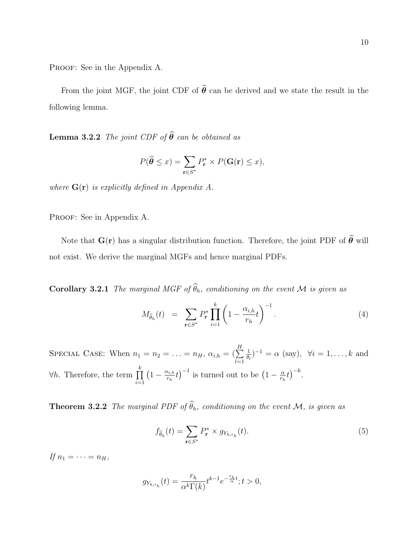PROOF: See in the Appendix A.

From the joint MGF, the joint CDF of  $\hat{\theta}$  can be derived and we state the result in the following lemma.

**Lemma 3.2.2** The joint CDF of  $\widehat{\boldsymbol{\theta}}$  can be obtained as

$$
P(\widehat{\theta} \le x) = \sum_{\mathbf{r} \in S^*} P_{\mathbf{r}}^* \times P(\mathbf{G}(\mathbf{r}) \le x),
$$

where  $\mathbf{G}(\mathbf{r})$  is explicitly defined in Appendix A.

PROOF: See in Appendix A.

Note that  $G(r)$  has a singular distribution function. Therefore, the joint PDF of  $\widehat{\theta}$  will not exist. We derive the marginal MGFs and hence marginal PDFs.

**Corollary 3.2.1** The marginal MGF of  $\widehat{\theta}_h$ , conditioning on the event M is given as

$$
M_{\hat{\theta}_h}(t) = \sum_{\mathbf{r} \in S^*} P_{\mathbf{r}}^* \prod_{i=1}^k \left( 1 - \frac{\alpha_{i,h}}{r_h} t \right)^{-1} . \tag{4}
$$

SPECIAL CASE: When  $n_1 = n_2 = \ldots = n_H$ ,  $\alpha_{i,h} = (\sum^H$  $_{l=1}$ 1  $\frac{1}{\theta_l}$ )<sup>-1</sup> =  $\alpha$  (say),  $\forall i = 1, ..., k$  and  $\forall h$ . Therefore, the term  $\prod^k$  $i=1$  $\left(1-\frac{\alpha_{i,h}}{n}\right)$  $\left(1 - \frac{\alpha}{r_h} t\right)^{-1}$  is turned out to be  $\left(1 - \frac{\alpha}{r_h}\right)$  $(\frac{\alpha}{r_h}t)^{-k}.$ 

**Theorem 3.2.2** The marginal PDF of  $\widehat{\theta}_h$ , conditioning on the event M, is given as

$$
f_{\widehat{\theta}_h}(t) = \sum_{\mathbf{r} \in S^*} P_{\mathbf{r}}^* \times g_{Y_{h,r_h}}(t). \tag{5}
$$

If  $n_1 = \cdots = n_H$ ,

$$
g_{Y_{h,r_h}}(t) = \frac{r_h}{\alpha^k \Gamma(k)} t^{k-1} e^{-\frac{r_h}{\alpha}t}; t > 0,
$$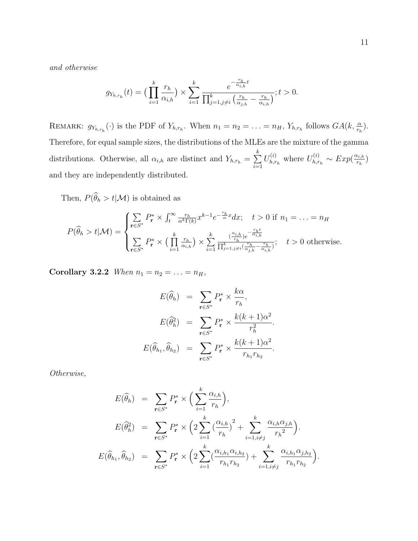and otherwise

$$
g_{Y_{h,r_h}}(t) = \left(\prod_{i=1}^k \frac{r_h}{\alpha_{i,h}}\right) \times \sum_{i=1}^k \frac{e^{-\frac{r_h}{\alpha_{i,h}}t}}{\prod_{j=1, j \neq i}^k \left(\frac{r_h}{\alpha_{j,h}} - \frac{r_h}{\alpha_{i,h}}\right)}; t > 0.
$$

REMARK:  $g_{Y_{h,r_h}}(\cdot)$  is the PDF of  $Y_{h,r_h}$ . When  $n_1 = n_2 = \ldots = n_H$ ,  $Y_{h,r_h}$  follows  $GA(k, \frac{\alpha}{r_h})$ . Therefore, for equal sample sizes, the distributions of the MLEs are the mixture of the gamma distributions. Otherwise, all  $\alpha_{i,h}$  are distinct and  $Y_{h,r_h} = \sum_{h=1}^{h}$  $i=1$  $U_{h.r}^{\left( i\right) }$  $U_{h,r_h}^{(i)}$  where  $U_{h,r_h}^{(i)}$  $\tau_{h,r_h}^{(i)} \sim Exp(\frac{\alpha_{i,h}}{r_h})$  $\frac{\alpha_{i,h}}{r_h}\big)$ and they are independently distributed.

Then,  $P(\widehat{\theta}_h > t | \mathcal{M})$  is obtained as

$$
P(\widehat{\theta}_h > t | \mathcal{M}) = \begin{cases} \sum_{\mathbf{r} \in S^*} P_{\mathbf{r}}^* \times \int_t^{\infty} \frac{r_h}{\alpha^k \Gamma(k)} x^{k-1} e^{-\frac{r_h}{\alpha} x} dx; & t > 0 \text{ if } n_1 = \dots = n_H\\ \sum_{\mathbf{r} \in S^*} P_{\mathbf{r}}^* \times \Big( \prod_{i=1}^k \frac{r_h}{\alpha_{i,h}} \Big) \times \sum_{i=1}^k \frac{(\frac{\alpha_{i,h}}{r_h}) e^{-\frac{r_h t}{\alpha_{i,h}}}}{\prod_{j=1, j \neq i}^k (\frac{r_h}{\alpha_{j,h}} - \frac{r_h}{\alpha_{i,h}})}; & t > 0 \text{ otherwise.} \end{cases}
$$

Corollary 3.2.2 When  $n_1 = n_2 = ... = n_H$ ,

$$
E(\widehat{\theta}_h) = \sum_{\mathbf{r} \in S^*} P_{\mathbf{r}}^* \times \frac{k\alpha}{r_h},
$$
  
\n
$$
E(\widehat{\theta}_h^2) = \sum_{\mathbf{r} \in S^*} P_{\mathbf{r}}^* \times \frac{k(k+1)\alpha^2}{r_h^2}.
$$
  
\n
$$
E(\widehat{\theta}_{h_1}, \widehat{\theta}_{h_2}) = \sum_{\mathbf{r} \in S^*} P_{\mathbf{r}}^* \times \frac{k(k+1)\alpha^2}{r_{h_1}r_{h_2}}.
$$

Otherwise,

$$
E(\widehat{\theta}_h) = \sum_{\mathbf{r} \in S^*} P_{\mathbf{r}}^* \times \Big( \sum_{i=1}^k \frac{\alpha_{i,h}}{r_h} \Big),
$$
  
\n
$$
E(\widehat{\theta}_h^2) = \sum_{\mathbf{r} \in S^*} P_{\mathbf{r}}^* \times \Big( 2 \sum_{i=1}^k \big( \frac{\alpha_{i,h}}{r_h} \big)^2 + \sum_{i=1, i \neq j}^k \frac{\alpha_{i,h} \alpha_{j,h}}{r_h^2} \Big).
$$
  
\n
$$
E(\widehat{\theta}_{h_1}, \widehat{\theta}_{h_2}) = \sum_{\mathbf{r} \in S^*} P_{\mathbf{r}}^* \times \Big( 2 \sum_{i=1}^k \big( \frac{\alpha_{i,h_1} \alpha_{i,h_2}}{r_{h_1} r_{h_2}} \big) + \sum_{i=1, i \neq j}^k \frac{\alpha_{i,h_1} \alpha_{j,h_2}}{r_{h_1} r_{h_2}} \Big).
$$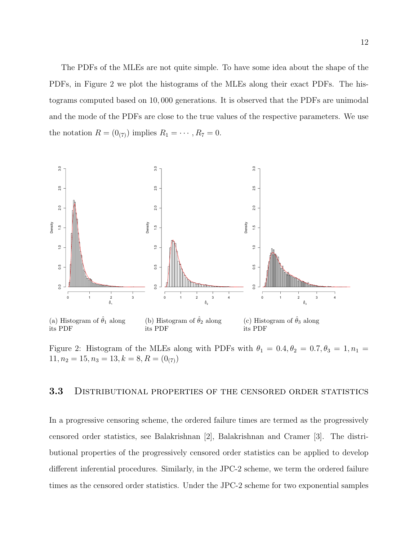The PDFs of the MLEs are not quite simple. To have some idea about the shape of the PDFs, in Figure 2 we plot the histograms of the MLEs along their exact PDFs. The histograms computed based on 10, 000 generations. It is observed that the PDFs are unimodal and the mode of the PDFs are close to the true values of the respective parameters. We use the notation  $R = (0_{(7)})$  implies  $R_1 = \cdots, R_7 = 0$ .



Figure 2: Histogram of the MLEs along with PDFs with  $\theta_1 = 0.4, \theta_2 = 0.7, \theta_3 = 1, n_1 =$  $11, n_2 = 15, n_3 = 13, k = 8, R = (0<sub>(7)</sub>)$ 

## 3.3 DISTRIBUTIONAL PROPERTIES OF THE CENSORED ORDER STATISTICS

In a progressive censoring scheme, the ordered failure times are termed as the progressively censored order statistics, see Balakrishnan [2], Balakrishnan and Cramer [3]. The distributional properties of the progressively censored order statistics can be applied to develop different inferential procedures. Similarly, in the JPC-2 scheme, we term the ordered failure times as the censored order statistics. Under the JPC-2 scheme for two exponential samples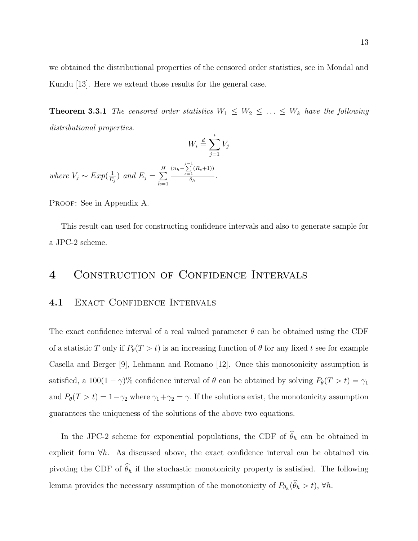we obtained the distributional properties of the censored order statistics, see in Mondal and Kundu [13]. Here we extend those results for the general case.

**Theorem 3.3.1** The censored order statistics  $W_1 \leq W_2 \leq \ldots \leq W_k$  have the following distributional properties.

$$
W_i \stackrel{d}{=} \sum_{j=1}^i V_j
$$

where  $V_j \sim Exp(\frac{1}{E})$  $(\frac{1}{E_j})$  and  $E_j = \sum_{i=1}^H$  $h=1$  $(n_h - \sum_{s=1}^{j-1}(R_s+1))$  $\frac{1}{\theta_h}$ .

PROOF: See in Appendix A.

This result can used for constructing confidence intervals and also to generate sample for a JPC-2 scheme.

## 4 CONSTRUCTION OF CONFIDENCE INTERVALS

#### 4.1 EXACT CONFIDENCE INTERVALS

The exact confidence interval of a real valued parameter  $\theta$  can be obtained using the CDF of a statistic T only if  $P_{\theta}(T > t)$  is an increasing function of  $\theta$  for any fixed t see for example Casella and Berger [9], Lehmann and Romano [12]. Once this monotonicity assumption is satisfied, a 100(1 –  $\gamma$ )% confidence interval of  $\theta$  can be obtained by solving  $P_{\theta}(T > t) = \gamma_1$ and  $P_{\theta}(T > t) = 1 - \gamma_2$  where  $\gamma_1 + \gamma_2 = \gamma$ . If the solutions exist, the monotonicity assumption guarantees the uniqueness of the solutions of the above two equations.

In the JPC-2 scheme for exponential populations, the CDF of  $\widehat{\theta}_h$  can be obtained in explicit form  $\forall h$ . As discussed above, the exact confidence interval can be obtained via pivoting the CDF of  $\widehat{\theta}_h$  if the stochastic monotonicity property is satisfied. The following lemma provides the necessary assumption of the monotonicity of  $P_{\theta_h}(\theta_h > t)$ ,  $\forall h$ .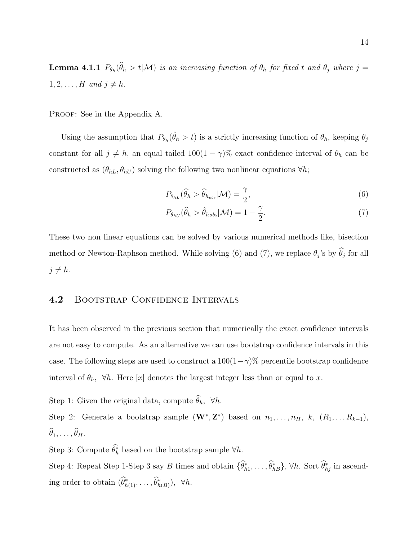**Lemma 4.1.1**  $P_{\theta_h}(\theta_h > t | \mathcal{M})$  is an increasing function of  $\theta_h$  for fixed t and  $\theta_j$  where  $j =$  $1, 2, \ldots, H$  and  $j \neq h$ .

PROOF: See in the Appendix A.

Using the assumption that  $P_{\theta_h}(\hat{\theta}_h > t)$  is a strictly increasing function of  $\theta_h$ , keeping  $\theta_j$ constant for all  $j \neq h$ , an equal tailed  $100(1 - \gamma)\%$  exact confidence interval of  $\theta_h$  can be constructed as  $(\theta_{hL}, \theta_{hU})$  solving the following two nonlinear equations  $\forall h$ ;

$$
P_{\theta_{hL}}(\widehat{\theta}_h > \widehat{\theta}_{h_{obs}} | \mathcal{M}) = \frac{\gamma}{2},\tag{6}
$$

$$
P_{\theta_{hU}}(\widehat{\theta}_h > \widehat{\theta}_{hobs} | \mathcal{M}) = 1 - \frac{\gamma}{2}.
$$
\n<sup>(7)</sup>

These two non linear equations can be solved by various numerical methods like, bisection method or Newton-Raphson method. While solving (6) and (7), we replace  $\theta_j$ 's by  $\theta_j$  for all  $j \neq h$ .

## 4.2 BOOTSTRAP CONFIDENCE INTERVALS

It has been observed in the previous section that numerically the exact confidence intervals are not easy to compute. As an alternative we can use bootstrap confidence intervals in this case. The following steps are used to construct a  $100(1-\gamma)\%$  percentile bootstrap confidence interval of  $\theta_h$ ,  $\forall h$ . Here [x] denotes the largest integer less than or equal to x.

Step 1: Given the original data, compute  $\widehat{\theta}_h$ ,  $\forall h$ .

Step 2: Generate a bootstrap sample  $(\mathbf{W}^*, \mathbf{Z}^*)$  based on  $n_1, \ldots, n_H, k, (R_1, \ldots, R_{k-1}),$  $\widehat{\theta}_1, \ldots, \widehat{\theta}_H.$ 

Step 3: Compute  $\hat{\theta}_h^*$  based on the bootstrap sample  $\forall h$ .

Step 4: Repeat Step 1-Step 3 say B times and obtain  $\{\hat{\theta}_{h1}^*,\ldots,\hat{\theta}_{hB}^*\}$ ,  $\forall h$ . Sort  $\hat{\theta}_{hj}^*$  in ascending order to obtain  $(\widehat{\theta}_{h(1)}^*, \ldots, \widehat{\theta}_{h(B)}^*)$ ,  $\forall h$ .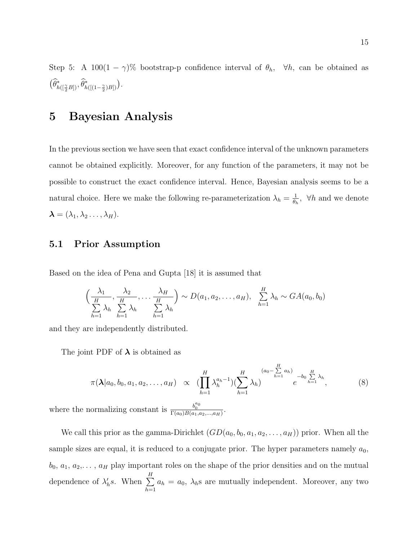Step 5: A 100(1 –  $\gamma$ )% bootstrap-p confidence interval of  $\theta_h$ ,  $\forall h$ , can be obtained as  $(\widehat{\theta}_{h([\frac{\gamma}{2}B])}^*,\widehat{\theta}_{h([(1-\frac{\gamma}{2})B])}^*)$ .

# 5 Bayesian Analysis

In the previous section we have seen that exact confidence interval of the unknown parameters cannot be obtained explicitly. Moreover, for any function of the parameters, it may not be possible to construct the exact confidence interval. Hence, Bayesian analysis seems to be a natural choice. Here we make the following re-parameterization  $\lambda_h = \frac{1}{\theta_h}$  $\frac{1}{\theta_h}$ ,  $\forall h$  and we denote  $\boldsymbol{\lambda} = (\lambda_1, \lambda_2 \ldots, \lambda_H).$ 

## 5.1 Prior Assumption

Based on the idea of Pena and Gupta [18] it is assumed that

$$
\left(\frac{\lambda_1}{\frac{H}{\sum\limits_{h=1}^H \lambda_h} \sum\limits_{h=1}^H \lambda_h} \dots \frac{\lambda_H}{\sum\limits_{h=1}^H \lambda_h}\right) \sim D(a_1, a_2, \dots, a_H), \quad \sum\limits_{h=1}^H \lambda_h \sim GA(a_0, b_0)
$$

and they are independently distributed.

The joint PDF of  $\lambda$  is obtained as

$$
\pi(\lambda|a_0, b_0, a_1, a_2, \dots, a_H) \propto (\prod_{h=1}^H \lambda_h^{a_h-1})(\sum_{h=1}^H \lambda_h)^{(a_0 - \sum_{h=1}^H a_h)} e^{-b_0 \sum_{h=1}^H \lambda_h},
$$
\n(8)

\ncomplizing constant is  $b_0^{a_0}$ 

where the normalizing constant is  $\frac{b_0^{a_0}}{\Gamma(a_0)B(a_1,a_2,...,a_H)}$ .

We call this prior as the gamma-Dirichlet  $(GD(a_0, b_0, a_1, a_2, \ldots, a_H))$  prior. When all the sample sizes are equal, it is reduced to a conjugate prior. The hyper parameters namely  $a_0$ ,  $b_0, a_1, a_2, \ldots, a_H$  play important roles on the shape of the prior densities and on the mutual dependence of  $\lambda'_h s$ . When  $\sum^H$  $h=1$  $a_h = a_0$ ,  $\lambda_h$ s are mutually independent. Moreover, any two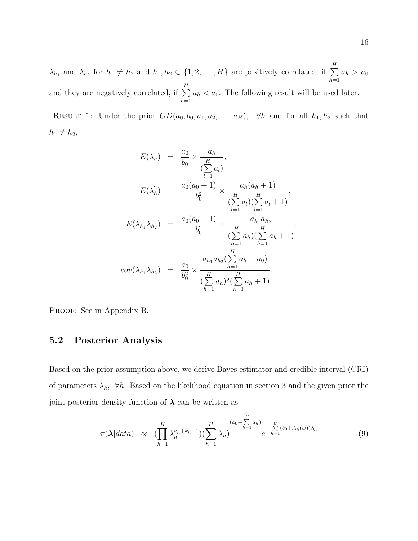$\lambda_{h_1}$  and  $\lambda_{h_2}$  for  $h_1 \neq h_2$  and  $h_1, h_2 \in \{1, 2, ..., H\}$  are positively correlated, if  $\sum^H$  $h=1$  $a_h > a_0$ and they are negatively correlated, if  $\sum_{n=1}^{H}$  $h=1$  $a_h < a_0$ . The following result will be used later.

RESULT 1: Under the prior  $GD(a_0, b_0, a_1, a_2, \ldots, a_H)$ ,  $\forall h$  and for all  $h_1, h_2$  such that  $h_1 \neq h_2$ ,

$$
E(\lambda_h) = \frac{a_0}{b_0} \times \frac{a_h}{\sum_{l=1}^{H} a_l},
$$
  
\n
$$
E(\lambda_h^2) = \frac{a_0(a_0 + 1)}{b_0^2} \times \frac{a_h(a_h + 1)}{\sum_{l=1}^{H} a_l \sum_{l=1}^{H} a_l},
$$
  
\n
$$
E(\lambda_{h_1} \lambda_{h_2}) = \frac{a_0(a_0 + 1)}{b_0^2} \times \frac{a_{h_1} a_{h_2}}{\sum_{h=1}^{H} a_h \sum_{h=1}^{H} a_h}.
$$
  
\n
$$
cov(\lambda_{h_1} \lambda_{h_2}) = \frac{a_0}{b_0^2} \times \frac{a_{h_1} a_{h_2} (\sum_{h=1}^{H} a_h - a_0)}{(\sum_{h=1}^{H} a_h)^2 (\sum_{h=1}^{H} a_h + 1)}.
$$

PROOF: See in Appendix B.

## 5.2 Posterior Analysis

Based on the prior assumption above, we derive Bayes estimator and credible interval (CRI) of parameters  $\lambda_h$ ,  $\forall h$ . Based on the likelihood equation in section 3 and the given prior the joint posterior density function of  $\lambda$  can be written as

$$
\pi(\boldsymbol{\lambda}|data) \propto (\prod_{h=1}^{H} \lambda_h^{a_h+k_h-1})(\sum_{h=1}^{H} \lambda_h)^{(a_0 - \sum\limits_{h=1}^{H} a_h)} e^{-\sum\limits_{h=1}^{H} (b_0 + A_h(w))\lambda_h}
$$
(9)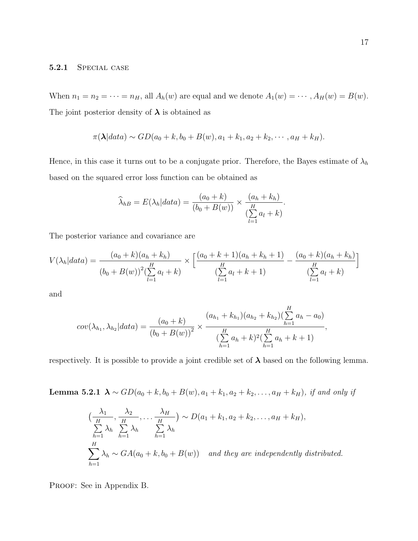#### 5.2.1 Special case

When  $n_1 = n_2 = \cdots = n_H$ , all  $A_h(w)$  are equal and we denote  $A_1(w) = \cdots$ ,  $A_H(w) = B(w)$ . The joint posterior density of  $\lambda$  is obtained as

$$
\pi(\lambda|data) \sim GD(a_0 + k, b_0 + B(w), a_1 + k_1, a_2 + k_2, \cdots, a_H + k_H).
$$

Hence, in this case it turns out to be a conjugate prior. Therefore, the Bayes estimate of  $\lambda_h$ based on the squared error loss function can be obtained as

$$
\widehat{\lambda}_{hB} = E(\lambda_h|data) = \frac{(a_0 + k)}{(b_0 + B(w))} \times \frac{(a_h + k_h)}{\sum_{l=1}^{H} a_l + k}.
$$

The posterior variance and covariance are

$$
V(\lambda_h|data) = \frac{(a_0 + k)(a_h + k_h)}{(b_0 + B(w))^2 (\sum_{l=1}^H a_l + k)} \times \left[ \frac{(a_0 + k + 1)(a_h + k_h + 1)}{(\sum_{l=1}^H a_l + k + 1)} - \frac{(a_0 + k)(a_h + k_h)}{(\sum_{l=1}^H a_l + k)} \right]
$$

and

$$
cov(\lambda_{h_1}, \lambda_{h_2}|data) = \frac{(a_0 + k)}{(b_0 + B(w))^2} \times \frac{(a_{h_1} + k_{h_1})(a_{h_2} + k_{h_2})(\sum_{h=1}^H a_h - a_0)}{(\sum_{h=1}^H a_h + k)^2(\sum_{h=1}^H a_h + k + 1)},
$$

respectively. It is possible to provide a joint credible set of  $\lambda$  based on the following lemma.

Lemma 5.2.1  $\lambda \sim GD(a_0 + k, b_0 + B(w), a_1 + k_1, a_2 + k_2, \ldots, a_H + k_H)$ , if and only if

$$
\left(\frac{\lambda_1}{\frac{H}{h-1}}, \frac{\lambda_2}{\frac{H}{h-1}}, \dots, \frac{\lambda_H}{\frac{H}{h-1}}\right) \sim D(a_1 + k_1, a_2 + k_2, \dots, a_H + k_H),
$$
\n
$$
\sum_{h=1}^H \lambda_h \sum_{h=1}^H \lambda_h \sim GA(a_0 + k, b_0 + B(w)) \quad and \text{ they are independently distributed.}
$$

PROOF: See in Appendix B.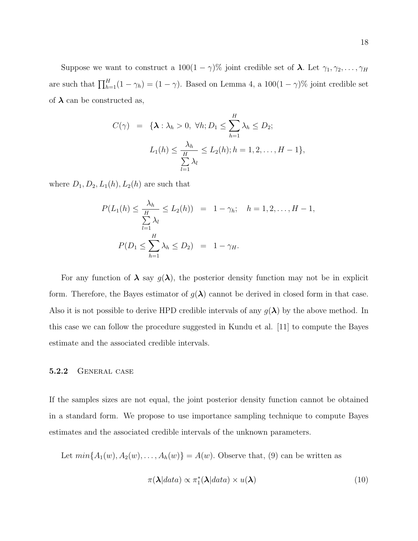Suppose we want to construct a  $100(1 - \gamma)\%$  joint credible set of  $\lambda$ . Let  $\gamma_1, \gamma_2, \ldots, \gamma_H$ are such that  $\prod_{h=1}^{H} (1 - \gamma_h) = (1 - \gamma)$ . Based on Lemma 4, a  $100(1 - \gamma)$ % joint credible set of  $\lambda$  can be constructed as,

$$
C(\gamma) = {\mathbf{\{\lambda : \lambda_h > 0, \forall h; D_1 \leq \sum_{h=1}^{H} \lambda_h \leq D_2; \atop L_1(h) \leq \frac{\lambda_h}{\sum_{l=1}^{H} \lambda_l} \leq L_2(h); h = 1, 2, \dots, H - 1}},
$$

where  $D_1, D_2, L_1(h), L_2(h)$  are such that

$$
P(L_1(h) \le \frac{\lambda_h}{\sum_{l=1}^H \lambda_l} \le L_2(h)) = 1 - \gamma_h; \quad h = 1, 2, \dots, H - 1,
$$
  

$$
P(D_1 \le \sum_{h=1}^H \lambda_h \le D_2) = 1 - \gamma_H.
$$

For any function of  $\lambda$  say  $g(\lambda)$ , the posterior density function may not be in explicit form. Therefore, the Bayes estimator of  $g(\lambda)$  cannot be derived in closed form in that case. Also it is not possible to derive HPD credible intervals of any  $g(\lambda)$  by the above method. In this case we can follow the procedure suggested in Kundu et al. [11] to compute the Bayes estimate and the associated credible intervals.

#### 5.2.2 General case

If the samples sizes are not equal, the joint posterior density function cannot be obtained in a standard form. We propose to use importance sampling technique to compute Bayes estimates and the associated credible intervals of the unknown parameters.

Let  $min{A_1(w), A_2(w), \ldots, A_h(w)} = A(w)$ . Observe that, (9) can be written as

$$
\pi(\lambda|data) \propto \pi_1^*(\lambda|data) \times u(\lambda)
$$
\n(10)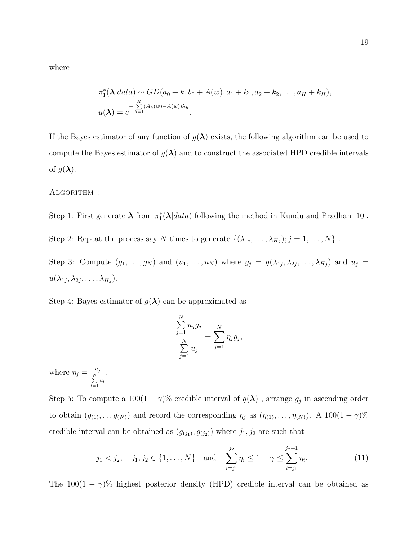where

$$
\pi_1^*(\boldsymbol{\lambda}|data) \sim GD(a_0+k, b_0+A(w), a_1+k_1, a_2+k_2, \ldots, a_H+k_H),
$$
  

$$
u(\boldsymbol{\lambda})=e^{-\sum\limits_{h=1}^H (A_h(w)-A(w))\lambda_h}.
$$

If the Bayes estimator of any function of  $g(\lambda)$  exists, the following algorithm can be used to compute the Bayes estimator of  $g(\lambda)$  and to construct the associated HPD credible intervals of  $g(\lambda)$ .

ALGORITHM :

Step 1: First generate  $\lambda$  from  $\pi_1^*(\lambda|data)$  following the method in Kundu and Pradhan [10].

Step 2: Repeat the process say N times to generate  $\{(\lambda_{1j},\ldots,\lambda_{Hj}); j=1,\ldots,N\}$ .

Step 3: Compute  $(g_1, \ldots, g_N)$  and  $(u_1, \ldots, u_N)$  where  $g_j = g(\lambda_{1j}, \lambda_{2j}, \ldots, \lambda_{Hj})$  and  $u_j =$  $u(\lambda_{1j},\lambda_{2j},\ldots,\lambda_{Hj}).$ 

Step 4: Bayes estimator of  $g(\lambda)$  can be approximated as

$$
\frac{\sum_{j=1}^{N} u_j g_j}{\sum_{j=1}^{N} u_j} = \sum_{j=1}^{N} \eta_j g_j,
$$

where  $\eta_j = \frac{u_j}{N}$  $\sum_{l=1}^N u_l$ .

Step 5: To compute a  $100(1-\gamma)$ % credible interval of  $g(\lambda)$ , arrange  $g_j$  in ascending order to obtain  $(g_{(1)}, \ldots, g_{(N)})$  and record the corresponding  $\eta_j$  as  $(\eta_{(1)}, \ldots, \eta_{(N)})$ . A  $100(1 - \gamma)\%$ credible interval can be obtained as  $(g_{(j_1)}, g_{(j_2)})$  where  $j_1, j_2$  are such that

$$
j_1 < j_2, \quad j_1, j_2 \in \{1, ..., N\}
$$
 and  $\sum_{i=j_1}^{j_2} \eta_i \le 1 - \gamma \le \sum_{i=j_1}^{j_2+1} \eta_i.$  (11)

The  $100(1 - \gamma)$ % highest posterior density (HPD) credible interval can be obtained as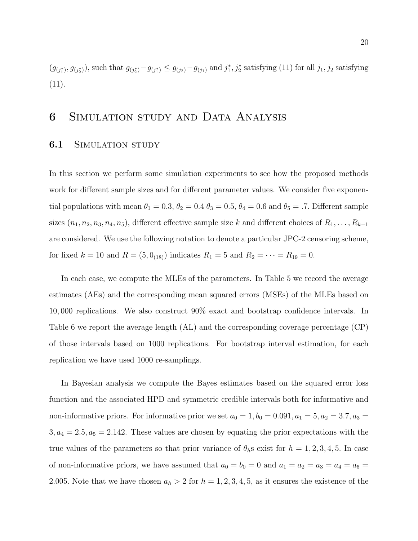$(g_{(j_1^*),} g_{(j_2^*)})$ , such that  $g_{(j_2^*)} - g_{(j_1^*)} \leq g_{(j_2)} - g_{(j_1)}$  and  $j_1^*, j_2^*$  satisfying (11) for all  $j_1, j_2$  satisfying  $(11).$ 

## 6 Simulation study and Data Analysis

### **6.1** SIMULATION STUDY

In this section we perform some simulation experiments to see how the proposed methods work for different sample sizes and for different parameter values. We consider five exponential populations with mean  $\theta_1 = 0.3$ ,  $\theta_2 = 0.4$   $\theta_3 = 0.5$ ,  $\theta_4 = 0.6$  and  $\theta_5 = .7$ . Different sample sizes  $(n_1, n_2, n_3, n_4, n_5)$ , different effective sample size k and different choices of  $R_1, \ldots, R_{k-1}$ are considered. We use the following notation to denote a particular JPC-2 censoring scheme, for fixed  $k = 10$  and  $R = (5, 0_{(18)})$  indicates  $R_1 = 5$  and  $R_2 = \cdots = R_{19} = 0$ .

In each case, we compute the MLEs of the parameters. In Table 5 we record the average estimates (AEs) and the corresponding mean squared errors (MSEs) of the MLEs based on 10, 000 replications. We also construct 90% exact and bootstrap confidence intervals. In Table 6 we report the average length (AL) and the corresponding coverage percentage (CP) of those intervals based on 1000 replications. For bootstrap interval estimation, for each replication we have used 1000 re-samplings.

In Bayesian analysis we compute the Bayes estimates based on the squared error loss function and the associated HPD and symmetric credible intervals both for informative and non-informative priors. For informative prior we set  $a_0 = 1$ ,  $b_0 = 0.091$ ,  $a_1 = 5$ ,  $a_2 = 3.7$ ,  $a_3 =$  $3, a_4 = 2.5, a_5 = 2.142$ . These values are chosen by equating the prior expectations with the true values of the parameters so that prior variance of  $\theta_h$ s exist for  $h = 1, 2, 3, 4, 5$ . In case of non-informative priors, we have assumed that  $a_0 = b_0 = 0$  and  $a_1 = a_2 = a_3 = a_4 = a_5 =$ 2.005. Note that we have chosen  $a_h > 2$  for  $h = 1, 2, 3, 4, 5$ , as it ensures the existence of the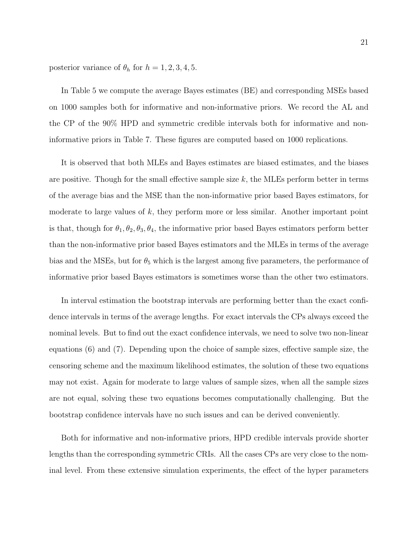posterior variance of  $\theta_h$  for  $h = 1, 2, 3, 4, 5$ .

In Table 5 we compute the average Bayes estimates (BE) and corresponding MSEs based on 1000 samples both for informative and non-informative priors. We record the AL and the CP of the 90% HPD and symmetric credible intervals both for informative and noninformative priors in Table 7. These figures are computed based on 1000 replications.

It is observed that both MLEs and Bayes estimates are biased estimates, and the biases are positive. Though for the small effective sample size  $k$ , the MLEs perform better in terms of the average bias and the MSE than the non-informative prior based Bayes estimators, for moderate to large values of  $k$ , they perform more or less similar. Another important point is that, though for  $\theta_1, \theta_2, \theta_3, \theta_4$ , the informative prior based Bayes estimators perform better than the non-informative prior based Bayes estimators and the MLEs in terms of the average bias and the MSEs, but for  $\theta_5$  which is the largest among five parameters, the performance of informative prior based Bayes estimators is sometimes worse than the other two estimators.

In interval estimation the bootstrap intervals are performing better than the exact confidence intervals in terms of the average lengths. For exact intervals the CPs always exceed the nominal levels. But to find out the exact confidence intervals, we need to solve two non-linear equations (6) and (7). Depending upon the choice of sample sizes, effective sample size, the censoring scheme and the maximum likelihood estimates, the solution of these two equations may not exist. Again for moderate to large values of sample sizes, when all the sample sizes are not equal, solving these two equations becomes computationally challenging. But the bootstrap confidence intervals have no such issues and can be derived conveniently.

Both for informative and non-informative priors, HPD credible intervals provide shorter lengths than the corresponding symmetric CRIs. All the cases CPs are very close to the nominal level. From these extensive simulation experiments, the effect of the hyper parameters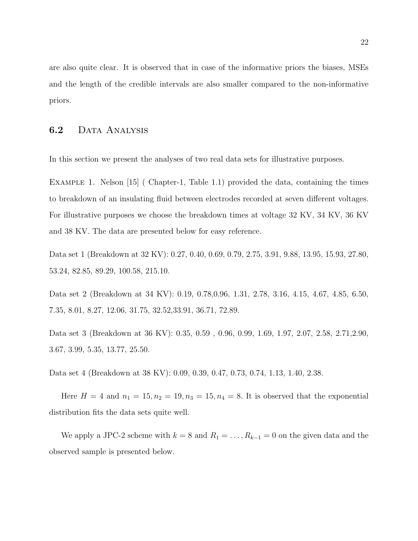are also quite clear. It is observed that in case of the informative priors the biases, MSEs and the length of the credible intervals are also smaller compared to the non-informative priors.

## 6.2 DATA ANALYSIS

In this section we present the analyses of two real data sets for illustrative purposes.

EXAMPLE 1. Nelson [15] (Chapter-1, Table 1.1) provided the data, containing the times to breakdown of an insulating fluid between electrodes recorded at seven different voltages. For illustrative purposes we choose the breakdown times at voltage 32 KV, 34 KV, 36 KV and 38 KV. The data are presented below for easy reference.

Data set 1 (Breakdown at 32 KV): 0.27, 0.40, 0.69, 0.79, 2.75, 3.91, 9.88, 13.95, 15.93, 27.80, 53.24, 82.85, 89.29, 100.58, 215.10.

Data set 2 (Breakdown at 34 KV): 0.19, 0.78,0.96, 1.31, 2.78, 3.16, 4.15, 4.67, 4.85, 6.50, 7.35, 8.01, 8.27, 12.06, 31.75, 32.52,33.91, 36.71, 72.89.

Data set 3 (Breakdown at 36 KV): 0.35, 0.59 , 0.96, 0.99, 1.69, 1.97, 2.07, 2.58, 2.71,2.90, 3.67, 3.99, 5.35, 13.77, 25.50.

Data set 4 (Breakdown at 38 KV): 0.09, 0.39, 0.47, 0.73, 0.74, 1.13, 1.40, 2.38.

Here  $H = 4$  and  $n_1 = 15, n_2 = 19, n_3 = 15, n_4 = 8$ . It is observed that the exponential distribution fits the data sets quite well.

We apply a JPC-2 scheme with  $k = 8$  and  $R_1 = \ldots, R_{k-1} = 0$  on the given data and the observed sample is presented below.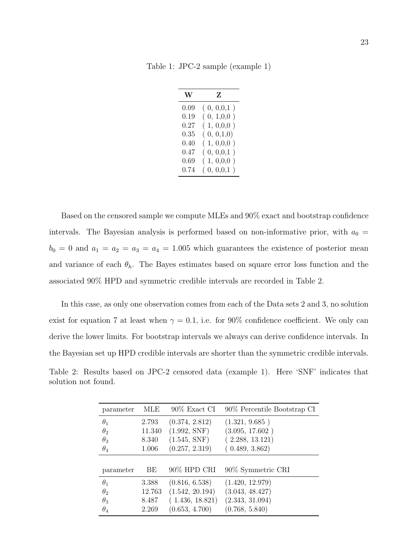Table 1: JPC-2 sample (example 1)

| W        | Z            |
|----------|--------------|
| 0.09     | (0, 0, 0, 1) |
| 0.19     | (0, 1, 0, 0) |
| $0.27\,$ | (1, 0, 0, 0) |
| 0.35     | (0, 0, 1, 0) |
| 0.40     | (1, 0, 0, 0) |
| 0.47     | (0, 0, 0, 1) |
| 0.69     | (1, 0, 0, 0) |
| 0.74     | (0, 0, 0, 1) |

Based on the censored sample we compute MLEs and 90% exact and bootstrap confidence intervals. The Bayesian analysis is performed based on non-informative prior, with  $a_0 =$  $b_0 = 0$  and  $a_1 = a_2 = a_3 = a_4 = 1.005$  which guarantees the existence of posterior mean and variance of each  $\theta_h$ . The Bayes estimates based on square error loss function and the associated 90% HPD and symmetric credible intervals are recorded in Table 2.

In this case, as only one observation comes from each of the Data sets 2 and 3, no solution exist for equation 7 at least when  $\gamma = 0.1$ , i.e. for 90% confidence coefficient. We only can derive the lower limits. For bootstrap intervals we always can derive confidence intervals. In the Bayesian set up HPD credible intervals are shorter than the symmetric credible intervals. Table 2: Results based on JPC-2 censored data (example 1). Here 'SNF' indicates that

solution not found.

| parameter  | MLE    | 90% Exact CI    | 90% Percentile Bootstrap CI |
|------------|--------|-----------------|-----------------------------|
| $\theta_1$ | 2.793  | (0.374, 2.812)  | (1.321, 9.685)              |
| $\theta_2$ | 11.340 | (1.992, SNF)    | (3.095, 17.602)             |
| $\theta_3$ | 8.340  | (1.545, SNF)    | (2.288, 13.121)             |
| $\theta_4$ | 1.006  | (0.257, 2.319)  | (0.489, 3.862)              |
|            |        |                 |                             |
| parameter  | BE     | 90% HPD CRI     | 90% Symmetric CRI           |
| $\theta_1$ | 3.388  | (0.816, 6.538)  | (1.420, 12.979)             |
| $\theta_2$ | 12.763 | (1.542, 20.194) | (3.043, 48.427)             |
| $\theta_3$ | 8.487  | (1.436, 18.821) | (2.343, 31.094)             |
| $\theta_4$ | 2.269  | (0.653, 4.700)  | (0.768, 5.840)              |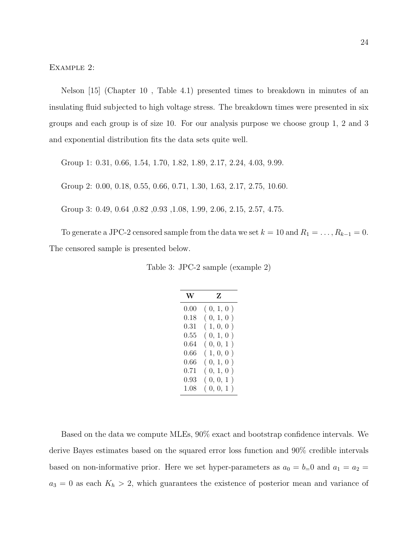Example 2:

Nelson [15] (Chapter 10 , Table 4.1) presented times to breakdown in minutes of an insulating fluid subjected to high voltage stress. The breakdown times were presented in six groups and each group is of size 10. For our analysis purpose we choose group 1, 2 and 3 and exponential distribution fits the data sets quite well.

Group 1: 0.31, 0.66, 1.54, 1.70, 1.82, 1.89, 2.17, 2.24, 4.03, 9.99.

Group 2: 0.00, 0.18, 0.55, 0.66, 0.71, 1.30, 1.63, 2.17, 2.75, 10.60.

Group 3: 0.49, 0.64 ,0.82 ,0.93 ,1.08, 1.99, 2.06, 2.15, 2.57, 4.75.

To generate a JPC-2 censored sample from the data we set  $k = 10$  and  $R_1 = \ldots, R_{k-1} = 0$ . The censored sample is presented below.

Table 3: JPC-2 sample (example 2)

| W    | Z                    |
|------|----------------------|
| 0.00 | (0, 1, 0)            |
| 0.18 | (0, 1, 0)            |
| 0.31 | (1, 0, 0)            |
| 0.55 | (0, 1, 0)            |
| 0.64 | (0, 0, 1)            |
| 0.66 | (1, 0, 0)            |
| 0.66 | (0, 1, 0)            |
| 0.71 | (0, 1, 0)<br>$\big)$ |
| 0.93 | (0, 0, 1)            |
| 1.08 | (0,0,1)              |

Based on the data we compute MLEs, 90% exact and bootstrap confidence intervals. We derive Bayes estimates based on the squared error loss function and 90% credible intervals based on non-informative prior. Here we set hyper-parameters as  $a_0 = b=0$  and  $a_1 = a_2 =$  $a_3 = 0$  as each  $K_h > 2$ , which guarantees the existence of posterior mean and variance of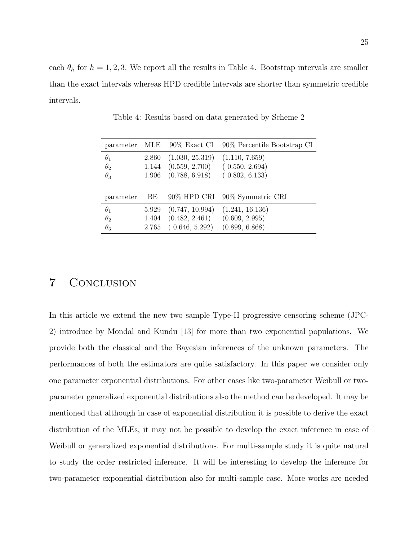each  $\theta_h$  for  $h = 1, 2, 3$ . We report all the results in Table 4. Bootstrap intervals are smaller than the exact intervals whereas HPD credible intervals are shorter than symmetric credible intervals.

| parameter  |       |                 | MLE 90% Exact CI 90% Percentile Bootstrap CI |
|------------|-------|-----------------|----------------------------------------------|
| $\theta_1$ | 2.860 | (1.030, 25.319) | (1.110, 7.659)                               |
| $\theta_2$ | 1.144 | (0.559, 2.700)  | (0.550, 2.694)                               |
| $\theta_3$ | 1.906 | (0.788, 6.918)  | (0.802, 6.133)                               |
|            |       |                 |                                              |
| parameter  | BЕ    |                 | 90% HPD CRI 90% Symmetric CRI                |
| $\theta_1$ | 5.929 | (0.747, 10.994) | (1.241, 16.136)                              |
| $\theta_2$ | 1.404 | (0.482, 2.461)  | (0.609, 2.995)                               |
| $\theta_3$ | 2.765 | (0.646, 5.292)  | (0.899, 6.868)                               |

Table 4: Results based on data generated by Scheme 2

# 7 Conclusion

In this article we extend the new two sample Type-II progressive censoring scheme (JPC-2) introduce by Mondal and Kundu [13] for more than two exponential populations. We provide both the classical and the Bayesian inferences of the unknown parameters. The performances of both the estimators are quite satisfactory. In this paper we consider only one parameter exponential distributions. For other cases like two-parameter Weibull or twoparameter generalized exponential distributions also the method can be developed. It may be mentioned that although in case of exponential distribution it is possible to derive the exact distribution of the MLEs, it may not be possible to develop the exact inference in case of Weibull or generalized exponential distributions. For multi-sample study it is quite natural to study the order restricted inference. It will be interesting to develop the inference for two-parameter exponential distribution also for multi-sample case. More works are needed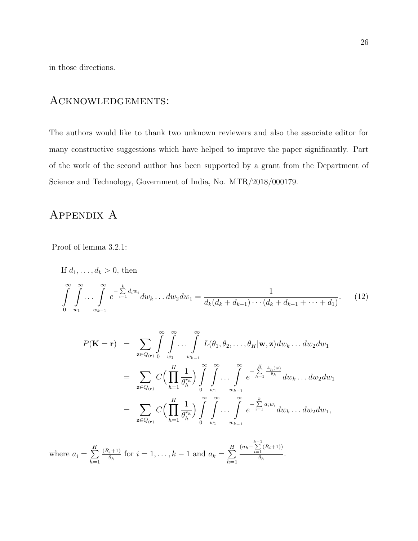in those directions.

## Acknowledgements:

The authors would like to thank two unknown reviewers and also the associate editor for many constructive suggestions which have helped to improve the paper significantly. Part of the work of the second author has been supported by a grant from the Department of Science and Technology, Government of India, No. MTR/2018/000179.

# APPENDIX A

Proof of lemma 3.2.1:

If 
$$
d_1, ..., d_k > 0
$$
, then  
\n
$$
\int_{0}^{\infty} \int_{w_1}^{\infty} \dots \int_{w_{k-1}}^{\infty} e^{-\sum_{i=1}^{k} d_i w_i} dw_k ... dw_2 dw_1 = \frac{1}{d_k(d_k + d_{k-1}) \cdots (d_k + d_{k-1} + \cdots + d_1)}.
$$
\n(12)

$$
P(\mathbf{K} = \mathbf{r}) = \sum_{\mathbf{z} \in Q_{(\mathbf{r})}} \int_{0}^{\infty} \int_{w_1}^{\infty} \cdots \int_{w_{k-1}}^{\infty} L(\theta_1, \theta_2, \ldots, \theta_H | \mathbf{w}, \mathbf{z}) dw_k \ldots dw_2 dw_1
$$
  
\n
$$
= \sum_{\mathbf{z} \in Q_{(\mathbf{r})}} C\Big(\prod_{h=1}^{H} \frac{1}{\theta_h^{r_h}}\Big) \int_{0}^{\infty} \int_{w_1}^{\infty} \cdots \int_{w_{k-1}}^{\infty} e^{-\sum_{h=1}^{H} \frac{A_h(w)}{\theta_h}} dw_k \ldots dw_2 dw_1
$$
  
\n
$$
= \sum_{\mathbf{z} \in Q_{(\mathbf{r})}} C\Big(\prod_{h=1}^{H} \frac{1}{\theta_h^{r_h}}\Big) \int_{0}^{\infty} \int_{w_1}^{\infty} \cdots \int_{w_{k-1}}^{\infty} e^{-\sum_{i=1}^{k} a_i w_i} dw_k \ldots dw_2 dw_1,
$$

where  $a_i = \sum^H$  $h=1$  $(R_i+1)$  $\ell_{\theta_h}^{(i+1)}$  for  $i = 1, ..., k-1$  and  $a_k = \sum_{i=1}^H$  $h=1$  $(n_h - \sum_{i=1}^{k-1}(R_i+1))$  $\frac{1}{\theta_h}$ .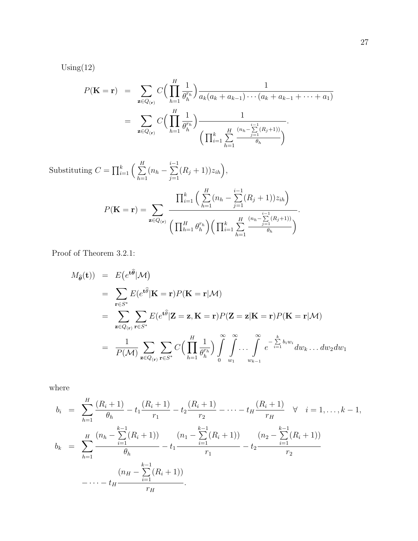$Using(12)$ 

$$
P(\mathbf{K} = \mathbf{r}) = \sum_{\mathbf{z} \in Q_{(\mathbf{r})}} C\Big(\prod_{h=1}^{H} \frac{1}{\theta_h^{r_h}}\Big) \frac{1}{a_k(a_k + a_{k-1}) \cdots (a_k + a_{k-1} + \cdots + a_1)}
$$
  
= 
$$
\sum_{\mathbf{z} \in Q_{(\mathbf{r})}} C\Big(\prod_{h=1}^{H} \frac{1}{\theta_h^{r_h}}\Big) \frac{1}{\Big(\prod_{i=1}^{k} \sum_{h=1}^{H} \frac{(n_h - \sum_{j=1}^{i-1} (R_j + 1))}{\theta_h}\Big)}.
$$

Substituting  $C = \prod_{i=1}^k \left( \sum_{i=1}^H \right)$  $_{h=1}$  $(n_h \sum_{i=1}^{i-1}$  $j=1$  $(R_j+1))z_{ih}\big),$  $P(\mathbf{K} = \mathbf{r}) = \sum$  $\mathbf{z} \in Q_{(\mathbf{r})}$  $\prod_{i=1}^k \left(\sum^H$  $_{h=1}$  $(n_h \sum_{i=1}^{i-1}$  $j=1$  $(R_j+1))z_{ih}$  $\left(\prod_{h=1}^H \theta_h^{r_h}\right) \left(\prod_{i=1}^k \sum^H$  $h=1$  $(n_h - \sum_{j=1}^{i-1} (R_j + 1))$  $\theta_h$  $\setminus$ .

Proof of Theorem 3.2.1:

$$
M_{\hat{\theta}}(\mathbf{t})) = E(e^{t\hat{\theta}}|\mathcal{M})
$$
  
\n
$$
= \sum_{\mathbf{r}\in S^*} E(e^{t\hat{\theta}}|\mathbf{K}=\mathbf{r})P(\mathbf{K}=\mathbf{r}|\mathcal{M})
$$
  
\n
$$
= \sum_{\mathbf{z}\in Q_{(\mathbf{r})}} \sum_{\mathbf{r}\in S^*} E(e^{t\hat{\theta}}|\mathbf{Z}=\mathbf{z}, \mathbf{K}=\mathbf{r})P(\mathbf{Z}=\mathbf{z}|\mathbf{K}=\mathbf{r})P(\mathbf{K}=\mathbf{r}|\mathcal{M})
$$
  
\n
$$
= \frac{1}{P(\mathcal{M})} \sum_{\mathbf{z}\in Q_{(\mathbf{r})}} \sum_{\mathbf{r}\in S^*} C\Big(\prod_{h=1}^H \frac{1}{\theta_h^{r_h}}\Big) \int_0^\infty \int_{w_1}^\infty \dots \int_{w_{k-1}}^\infty e^{-\sum_{i=1}^k b_i w_i} dw_k \dots dw_2 dw_1
$$

where

$$
b_i = \sum_{h=1}^{H} \frac{(R_i + 1)}{\theta_h} - t_1 \frac{(R_i + 1)}{r_1} - t_2 \frac{(R_i + 1)}{r_2} - \dots - t_H \frac{(R_i + 1)}{r_H} \quad \forall \quad i = 1, \dots, k - 1,
$$
  

$$
b_k = \sum_{h=1}^{H} \frac{(n_h - \sum_{i=1}^{k-1} (R_i + 1))}{\theta_h} - t_1 \frac{(n_1 - \sum_{i=1}^{k-1} (R_i + 1))}{r_1} - t_2 \frac{(n_2 - \sum_{i=1}^{k-1} (R_i + 1))}{r_2}
$$
  

$$
-\dots - t_H \frac{(n_H - \sum_{i=1}^{k-1} (R_i + 1))}{r_H}.
$$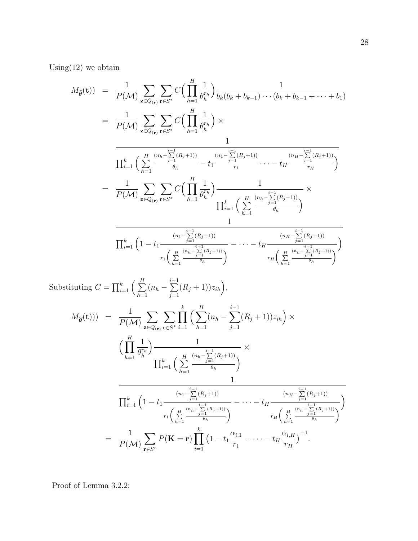Using  $(12)$  we obtain

$$
M_{\hat{\theta}}(\mathbf{t})) = \frac{1}{P(\mathcal{M})} \sum_{\mathbf{z} \in Q_{(\mathbf{r})}} \sum_{\mathbf{r} \in S^*} C\Big(\prod_{h=1}^{H} \frac{1}{\theta_h^{r_h}}\Big) \frac{1}{b_k(b_k + b_{k-1}) \cdots (b_k + b_{k-1} + \cdots + b_1)}
$$
  
\n
$$
= \frac{1}{P(\mathcal{M})} \sum_{\mathbf{z} \in Q_{(\mathbf{r})}} \sum_{\mathbf{r} \in S^*} C\Big(\prod_{h=1}^{H} \frac{1}{\theta_h^{r_h}}\Big) \times
$$
  
\n
$$
\frac{1}{\prod_{i=1}^k \Big(\sum_{h=1}^H \frac{(n_h - \sum_{j=1}^{i-1} (R_j + 1))}{\theta_h} - t_1 \frac{-(n_1 - \sum_{j=1}^{i-1} (R_j + 1))}{r_1} \cdots - t_H \frac{(n_H - \sum_{j=1}^{i-1} (R_j + 1))}{r_H}\Big)}
$$
  
\n
$$
= \frac{1}{P(\mathcal{M})} \sum_{\mathbf{z} \in Q_{(\mathbf{r})}} \sum_{\mathbf{r} \in S^*} C\Big(\prod_{h=1}^{H} \frac{1}{\theta_h^{r_h}}\Big) \frac{1}{\prod_{i=1}^k \Big(\sum_{h=1}^H \frac{(n_h - \sum_{j=1}^{i-1} (R_j + 1))}{\theta_h}\Big)}}{1}
$$
  
\n
$$
\frac{1}{\prod_{i=1}^k \Big(1 - t_1 \frac{(n_1 - \sum_{j=1}^{i-1} (R_j + 1))}{\theta_h^{r_h}}\Big)^2} - \cdots - t_H \frac{(n_H - \sum_{j=1}^{i-1} (R_j + 1))}{\theta_h^{r_h} \Big(\sum_{h=1}^H \frac{(n_h - \sum_{j=1}^{i-1} (R_j + 1))}{\theta_h}\Big)^2}}
$$

Substituting  $C = \prod_{i=1}^k \left( \sum_{i=1}^H \right)$  $h=1$  $(n_h \sum_{i=1}^{i-1}$  $j=1$  $(R_j+1))z_{ih}\big),$  $M_{\widehat{\boldsymbol{\theta}}}(\mathbf{t}))$  =  $\frac{1}{P(\mathcal{M})}$  $\sum$  $\mathbf{z} \in Q_{(\mathbf{r})}$  $\sum$ r∈S ∗  $\Pi$ k  $i=1$  $\left(\sum_{i=1}^{H}$  $h=1$  $(n_h - \sum$ i−1  $j=1$  $(R_j+1))z_{ih}\bigg) \times$  $\big(\prod^H$  $h=1$ 1  $\overline{\theta^{r_h}_h}$  $\frac{1}{\sqrt{1-\frac{1}{2}}}\$  $\prod_{i=1}^k \left(\sum^H$  $h=1$  $(n_h - \sum_{j=1}^{i-1} (R_j + 1))$  $\theta_h$  $\setminus$ × 1  $\prod_{i=1}^k \Big(1-t_1$  $(n_1 - \sum_{j=1}^{i-1} (R_j + 1))$  $r_1\left( \begin{array}{c} H \sum\limits_{j=1}^{(n} \frac{(n_h-\sum\limits_{j=1}^{i-1}(R_j+1))}{\theta_i} \end{array} \right)$  $h=1$  $\theta_h$  $\setminus$  $- \cdots - t_H$  $(n_H - \sum_{j=1}^{i-1} (R_j + 1))$  $r_H \left( \sum_{i=1}^H \frac{\frac{(n_h - \sum_{j=1}^{i-1} (R_j + 1))}{j}}{a_i} \right)$  $h=1$  $\theta_h$  $\setminus$  $\setminus$ = 1  $P(\mathcal{M})$  $\sum$ r∈S ∗  $P(\mathbf{K} = \mathbf{r}) \prod$ k  $i=1$  $\left(1 - t_1 \frac{\alpha_{i,1}}{n}\right)$  $r_1$  $- \cdots - t_H \frac{\alpha_{i,H}}{a}$  $r_H$  $\big)^{-1}$ .

Proof of Lemma 3.2.2: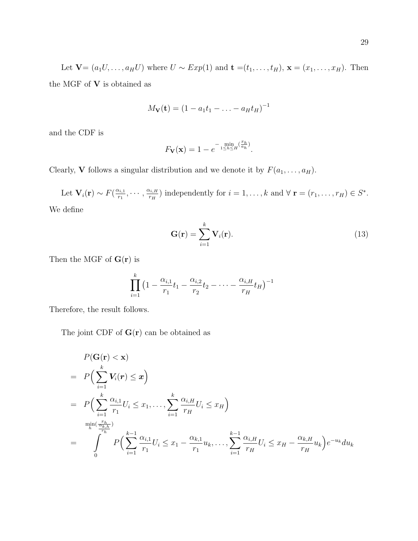$$
M_{\mathbf{V}}(\mathbf{t}) = (1 - a_1 t_1 - \ldots - a_H t_H)^{-1}
$$

and the CDF is

$$
F_{\mathbf{V}}(\mathbf{x}) = 1 - e^{-\min_{1 \le h \le H} \left(\frac{x_h}{a_h}\right)}.
$$

Clearly, **V** follows a singular distribution and we denote it by  $F(a_1, \ldots, a_H)$ .

Let  $\mathbf{V}_i(\mathbf{r}) \sim F(\frac{\alpha_{i,1}}{r_1})$  $\frac{\alpha_{i,1}}{r_1},\cdots,\frac{\alpha_{i,H}}{r_H}$  $(r_{\overline{i},H}_{r_H})$  independently for  $i=1,\ldots,k$  and  $\forall$   $\mathbf{r}=(r_1,\ldots,r_H)\in S^*$ . We define

$$
\mathbf{G}(\mathbf{r}) = \sum_{i=1}^{k} \mathbf{V}_i(\mathbf{r}).
$$
\n(13)

Then the MGF of  $\mathbf{G}(\mathbf{r})$  is

$$
\prod_{i=1}^{k} \left(1 - \frac{\alpha_{i,1}}{r_1} t_1 - \frac{\alpha_{i,2}}{r_2} t_2 - \dots - \frac{\alpha_{i,H}}{r_H} t_H\right)^{-1}
$$

Therefore, the result follows.

The joint CDF of  $G(r)$  can be obtained as

$$
P(\mathbf{G}(\mathbf{r}) < \mathbf{x})
$$
  
=  $P\left(\sum_{i=1}^{k} V_i(\mathbf{r}) \leq x\right)$   
=  $P\left(\sum_{i=1}^{k} \frac{\alpha_{i,1}}{r_1} U_i \leq x_1, \dots, \sum_{i=1}^{k} \frac{\alpha_{i,H}}{r_H} U_i \leq x_H\right)$   
=  $\int_{0}^{\min(\frac{x_h}{\alpha_{i,h}})} P\left(\sum_{i=1}^{k-1} \frac{\alpha_{i,1}}{r_1} U_i \leq x_1 - \frac{\alpha_{k,1}}{r_1} u_k, \dots, \sum_{i=1}^{k-1} \frac{\alpha_{i,H}}{r_H} U_i \leq x_H - \frac{\alpha_{k,H}}{r_H} u_k\right) e^{-u_k} du_k$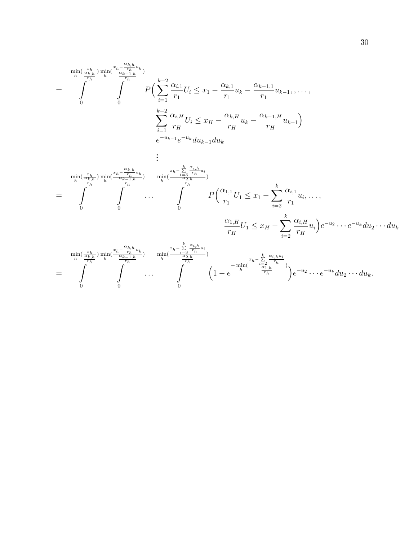$$
= \int_{0}^{\min(\frac{x_{h}}{\alpha_{k,h}})\min_{h}(\frac{x_{h}-\frac{\alpha_{k,h}}{r_{h}}u_{k}}{r_{h}})} P\left(\sum_{i=1}^{k-2} \frac{\alpha_{i,1}}{r_{1}} U_{i} \leq x_{1} - \frac{\alpha_{k,1}}{r_{1}} u_{k} - \frac{\alpha_{k-1,1}}{r_{1}} u_{k-1}, \dots, \sum_{i=1}^{k-2} \frac{\alpha_{i,H}}{r_{H}} U_{i} \leq x_{H} - \frac{\alpha_{k,H}}{r_{H}} u_{k} - \frac{\alpha_{k-1,H}}{r_{H}} u_{k-1}\right)
$$
\n
$$
e^{-u_{k-1}} e^{-u_{k}} du_{k-1} du_{k}
$$

$$
\vdots
$$
\n
$$
\min_{h}(\frac{x_h}{\frac{\alpha_{k,h}}{r_h}}) \min_{h}(\frac{x_h - \frac{\alpha_{k,h}}{r_h}u_k}{\frac{\alpha_{k-1,h}}{r_h}}) \quad \min_{h}(\frac{x_h - \frac{k}{\frac{\alpha_{3,h}}{r_h}u_i}}{\frac{\alpha_{2,h}}{r_h}}) \newline - \int_{0}^{\frac{\alpha_{1,h}}{r_h}u_k} \cdots \int_{0}^{\frac{\alpha_{1,h}}{r_h}u_k} P\left(\frac{\alpha_{1,1}}{r_1}U_1 \leq x_1 - \sum_{i=2}^k \frac{\alpha_{i,1}}{r_1}u_i, \dots, \frac{\alpha_{1,H}}{r_H}U_1 \leq x_H - \sum_{i=2}^k \frac{\alpha_{i,H}}{r_H}u_i\right) e^{-u_2} \cdots e^{-u_k} du_2 \cdots du_k
$$

$$
= \int\limits_0^{\min\left(\frac{x_h}{\alpha_{k,h}}\right)} \int\limits_0^{\min\left(\frac{x_h-\alpha_{k,h}}{\alpha_{k-1,h}}u_k\right)} \dots \int\limits_0^{\min\left(\frac{x_h-\sum\limits_{i=3}^k\frac{\alpha_{i,h}}{\tau_h}u_i}{\tau_h}\right)} \dots \int\limits_0^{\min\left(\frac{x_h-\sum\limits_{i=3}^k\frac{\alpha_{i,h}}{\tau_h}u_i}{\tau_h}\right)} \dots \int\limits_0^{\min\left(\frac{x_h-\sum\limits_{i=3}^k\frac{\alpha_{i,h}u_i}{\tau_h}u_i}{\tau_h}\right)} \left(1-e^{-\min\left(\frac{x_h-\sum\limits_{i=2}^k\frac{\alpha_{i,h}u_i}{\tau_h}u_i}{\tau_h}\right)}\right)e^{-u_2}\dots e^{-u_k}du_2\dots du_k.
$$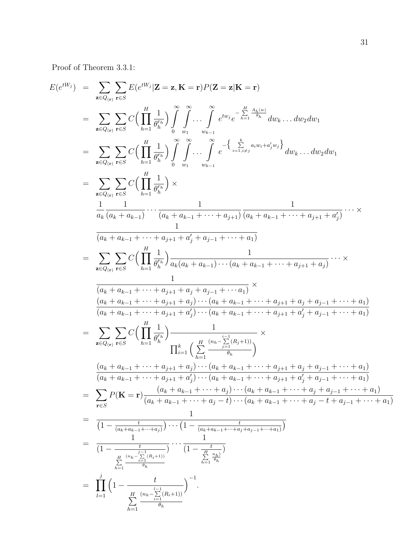Proof of Theorem 3.3.1:

$$
E(e^{iW_j}) = \sum_{\mathbf{z}\in Q_{(r)}} \sum_{\mathbf{r}\in S} E(e^{iW_j}|\mathbf{Z}=\mathbf{z}, \mathbf{K}=\mathbf{r})P(\mathbf{Z}=\mathbf{z}|\mathbf{K}=\mathbf{r})
$$
\n
$$
= \sum_{\mathbf{z}\in Q_{(r)}} \sum_{\mathbf{r}\in S} C\left(\prod_{h=1}^{H} \frac{1}{\theta_h^{n_h}}\right) \int_{0}^{\infty} \int_{w_1}^{\infty} \cdots \int_{w_{k-1}}^{\infty} e^{i w_j} e^{-\frac{H}{\lambda_{2n}}} \frac{d\mu_{2n}}{w_k} \cdot \cdot \cdot dw_2 dw_1
$$
\n
$$
= \sum_{\mathbf{z}\in Q_{(r)}} \sum_{\mathbf{r}\in S} C\left(\prod_{h=1}^{H} \frac{1}{\theta_h^{n_h}}\right) \int_{0}^{\infty} \int_{w_1}^{\infty} \cdots \int_{w_{k-1}}^{\infty} e^{-\left\{\frac{1}{\lambda_{2n} + \lambda_{2n} + \alpha_{2n} + \alpha_{2n} + \alpha_{2n} + \alpha_{2n} + \alpha_{2n} + \alpha_{2n} + \alpha_{2n} + \alpha_{2n} + \alpha_{2n} + \alpha_{2n} + \alpha_{2n} + \alpha_{2n} + \alpha_{2n} + \alpha_{2n} + \alpha_{2n} + \alpha_{2n} + \alpha_{2n} + \alpha_{2n} + \alpha_{2n} + \alpha_{2n} + \alpha_{2n} + \alpha_{2n} + \alpha_{2n} + \alpha_{2n} + \alpha_{2n} + \alpha_{2n} + \alpha_{2n} + \alpha_{2n} + \alpha_{2n} + \alpha_{2n} + \alpha_{2n} + \alpha_{2n} + \alpha_{2n} + \alpha_{2n} + \alpha_{2n} + \alpha_{2n} + \alpha_{2n} + \alpha_{2n} + \alpha_{2n} + \alpha_{2n} + \alpha_{2n} + \alpha_{2n} + \alpha_{2n} + \alpha_{2n} + \alpha_{2n} + \alpha_{2n} + \alpha_{2n} + \alpha_{2n} + \alpha_{2n} + \alpha_{2n} + \alpha_{2n} + \alpha_{2n} + \alpha_{2n} + \alpha_{2n} + \alpha_{2n} + \alpha_{2
$$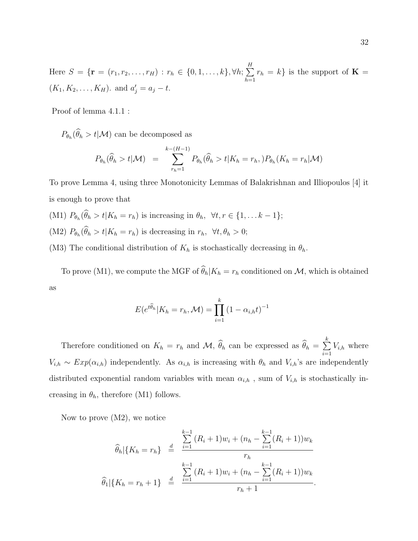Here  $S = \{ \mathbf{r} = (r_1, r_2, \dots, r_H) : r_h \in \{0, 1, \dots, k\}, \forall h; \sum^H$  $h=1$  $r_h = k$  is the support of  $\mathbf{K} =$  $(K_1, K_2, \ldots, K_H)$ . and  $a'_j = a_j - t$ .

Proof of lemma 4.1.1 :

 $P_{\theta_h}(\theta_h > t | \mathcal{M})$  can be decomposed as

$$
P_{\theta_h}(\widehat{\theta}_h > t | \mathcal{M}) = \sum_{r_h=1}^{k-(H-1)} P_{\theta_h}(\widehat{\theta}_h > t | K_h = r_h, ) P_{\theta_h}(K_h = r_h | \mathcal{M})
$$

To prove Lemma 4, using three Monotonicity Lemmas of Balakrishnan and Illiopoulos [4] it is enough to prove that

- (M1)  $P_{\theta_h}(\theta_h > t | K_h = r_h)$  is increasing in  $\theta_h$ ,  $\forall t, r \in \{1, \ldots k-1\};$
- (M2)  $P_{\theta_h}(\theta_h > t | K_h = r_h)$  is decreasing in  $r_h$ ,  $\forall t, \theta_h > 0$ ;

(M3) The conditional distribution of  $K_h$  is stochastically decreasing in  $\theta_h$ .

To prove (M1), we compute the MGF of  $\widehat{\theta}_h|K_h = r_h$  conditioned on  $\mathcal{M}$ , which is obtained as

$$
E(e^{t\widehat{\theta}_h}|K_h=r_h,\mathcal{M})=\prod_{i=1}^k(1-\alpha_{i,h}t)^{-1}
$$

Therefore conditioned on  $K_h = r_h$  and  $\mathcal{M}, \hat{\theta}_h$  can be expressed as  $\hat{\theta}_h = \sum_{i=1}^k$  $i=1$  $V_{i,h}$  where  $V_{i,h} \sim Exp(\alpha_{i,h})$  independently. As  $\alpha_{i,h}$  is increasing with  $\theta_h$  and  $V_{i,h}$ 's are independently distributed exponential random variables with mean  $\alpha_{i,h}$ , sum of  $V_{i,h}$  is stochastically increasing in  $\theta_h$ , therefore (M1) follows.

Now to prove (M2), we notice

$$
\widehat{\theta}_h | \{ K_h = r_h \} \stackrel{\text{def}}{=} \frac{\sum\limits_{i=1}^{k-1} (R_i + 1) w_i + (n_h - \sum\limits_{i=1}^{k-1} (R_i + 1)) w_k}{r_h}
$$
\n
$$
\widehat{\theta}_1 | \{ K_h = r_h + 1 \} \stackrel{\text{def}}{=} \frac{\sum\limits_{i=1}^{k-1} (R_i + 1) w_i + (n_h - \sum\limits_{i=1}^{k-1} (R_i + 1)) w_k}{r_h + 1}
$$

.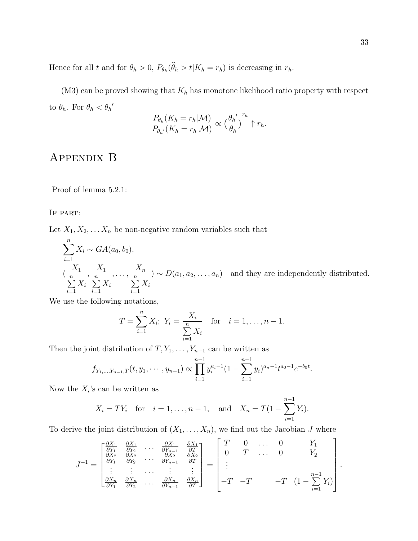Hence for all t and for  $\theta_h > 0$ ,  $P_{\theta_h}(\theta_h > t | K_h = r_h)$  is decreasing in  $r_h$ .

(M3) can be proved showing that  $K_h$  has monotone likelihood ratio property with respect to  $\theta_h$ . For  $\theta_h < \theta_h'$ 

$$
\frac{P_{\theta_h}(K_h = r_h|\mathcal{M})}{P_{\theta_h'}(K_h = r_h|\mathcal{M})} \propto \left(\frac{\theta_h'}{\theta_h}\right)^{r_h} \uparrow r_h.
$$

# Appendix B

Proof of lemma 5.2.1:

#### IF PART:

Let  $X_1, X_2, \ldots X_n$  be non-negative random variables such that

$$
\sum_{i=1}^{n} X_i \sim GA(a_0, b_0),
$$
\n
$$
\left(\frac{X_1}{\sum_{i=1}^{n} X_i}, \frac{X_1}{\sum_{i=1}^{n} X_i}, \dots, \frac{X_n}{\sum_{i=1}^{n} X_i}\right) \sim D(a_1, a_2, \dots, a_n) \text{ and they are independently distributed.}
$$

We use the following notations,

$$
T = \sum_{i=1}^{n} X_i; \ Y_i = \frac{X_i}{\sum_{i=1}^{n} X_i} \quad \text{for} \quad i = 1, \dots, n-1.
$$

Then the joint distribution of  $T, Y_1, \ldots, Y_{n-1}$  can be written as

$$
f_{Y_1,...,Y_{n-1},T}(t, y_1,..., y_{n-1}) \propto \prod_{i=1}^{n-1} y_i^{a_i-1} (1 - \sum_{i=1}^{n-1} y_i)^{a_n-1} t^{a_0-1} e^{-b_0 t}.
$$

Now the  $X_i$ 's can be written as

$$
X_i = TY_i
$$
 for  $i = 1, ..., n - 1$ , and  $X_n = T(1 - \sum_{i=1}^{n-1} Y_i)$ .

To derive the joint distribution of  $(X_1, \ldots, X_n)$ , we find out the Jacobian J where

$$
J^{-1} = \begin{bmatrix} \frac{\partial X_1}{\partial Y_1} & \frac{\partial X_1}{\partial Y_2} & \cdots & \frac{\partial X_1}{\partial Y_{n-1}} & \frac{\partial X_1}{\partial T} \\ \frac{\partial X_2}{\partial Y_1} & \frac{\partial X_2}{\partial Y_2} & \cdots & \frac{\partial X_2}{\partial Y_{n-1}} & \frac{\partial X_2}{\partial T} \\ \vdots & \vdots & \cdots & \vdots & \vdots \\ \frac{\partial X_n}{\partial Y_1} & \frac{\partial X_n}{\partial Y_2} & \cdots & \frac{\partial X_n}{\partial Y_{n-1}} & \frac{\partial X_n}{\partial T} \end{bmatrix} = \begin{bmatrix} T & 0 & \cdots & 0 & Y_1 \\ 0 & T & \cdots & 0 & Y_2 \\ \vdots & \vdots & \ddots & \vdots & \vdots \\ -T & -T & -T & (1 - \sum_{i=1}^{n-1} Y_i) \end{bmatrix}
$$

.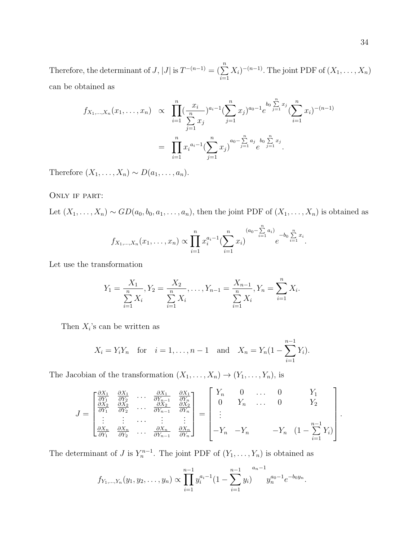Therefore, the determinant of  $J$ ,  $|J|$  is  $T^{-(n-1)} = (\sum_{n=1}^{n}$  $i=1$  $(X_i)^{-(n-1)}$ . The joint PDF of  $(X_1, \ldots, X_n)$ can be obtained as

$$
f_{X_1,\dots,X_n}(x_1,\dots,x_n) \propto \prod_{i=1}^n \left(\frac{x_i}{\sum_{j=1}^n x_j}\right)^{a_i-1} \left(\sum_{j=1}^n x_j\right)^{a_0-1} e^{b_0 \sum_{j=1}^n x_j} \left(\sum_{i=1}^n x_i\right)^{-(n-1)}
$$
  

$$
= \prod_{i=1}^n x_i^{a_i-1} \left(\sum_{j=1}^n x_j\right)^{a_0-\sum_{j=1}^n a_j} e^{b_0 \sum_{j=1}^n x_j}.
$$

Therefore  $(X_1, \ldots, X_n) \sim D(a_1, \ldots, a_n)$ .

#### Only if part:

Let  $(X_1, ..., X_n) \sim GD(a_0, b_0, a_1, ..., a_n)$ , then the joint PDF of  $(X_1, ..., X_n)$  is obtained as

$$
f_{X_1,...,X_n}(x_1,...,x_n) \propto \prod_{i=1}^n x_i^{a_i-1} \left(\sum_{i=1}^n x_i\right)^{(a_0-\sum_{i=1}^n a_i)} e^{-b_0 \sum_{i=1}^n x_i}.
$$

Let use the transformation

$$
Y_1 = \frac{X_1}{\sum_{i=1}^n X_i}, Y_2 = \frac{X_2}{\sum_{i=1}^n X_i}, \dots, Y_{n-1} = \frac{X_{n-1}}{\sum_{i=1}^n X_i}, Y_n = \sum_{i=1}^n X_i.
$$

Then  $X_i$ 's can be written as

$$
X_i = Y_i Y_n
$$
 for  $i = 1, ..., n - 1$  and  $X_n = Y_n (1 - \sum_{i=1}^{n-1} Y_i)$ .

The Jacobian of the transformation  $(X_1, \ldots, X_n) \to (Y_1, \ldots, Y_n)$ , is

$$
J = \begin{bmatrix} \frac{\partial X_1}{\partial Y_1} & \frac{\partial X_1}{\partial Y_2} & \cdots & \frac{\partial X_1}{\partial Y_{n-1}} & \frac{\partial X_1}{\partial Y_n} \\ \frac{\partial X_2}{\partial Y_1} & \frac{\partial X_2}{\partial Y_2} & \cdots & \frac{\partial X_2}{\partial Y_{n-1}} & \frac{\partial X_2}{\partial Y_n} \\ \vdots & \vdots & \cdots & \vdots & \vdots \\ \frac{\partial X_n}{\partial Y_1} & \frac{\partial X_n}{\partial Y_2} & \cdots & \frac{\partial X_n}{\partial Y_{n-1}} & \frac{\partial X_n}{\partial Y_n} \end{bmatrix} = \begin{bmatrix} Y_n & 0 & \cdots & 0 & Y_1 \\ 0 & Y_n & \cdots & 0 & Y_2 \\ \vdots & \vdots & \ddots & \vdots & \vdots \\ -Y_n & -Y_n & -Y_n & (1 - \sum_{i=1}^{n-1} Y_i) \end{bmatrix}
$$

The determinant of J is  $Y_n^{n-1}$ . The joint PDF of  $(Y_1, \ldots, Y_n)$  is obtained as

$$
f_{Y_1,...,Y_n}(y_1, y_2,..., y_n) \propto \prod_{i=1}^{n-1} y_i^{a_i-1} (1 - \sum_{i=1}^{n-1} y_i)^{a_0-1} y_n^{a_0-1} e^{-b_0 y_n}
$$

.

.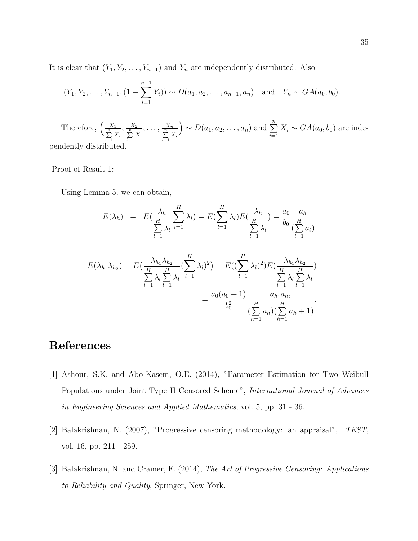It is clear that  $(Y_1, Y_2, \ldots, Y_{n-1})$  and  $Y_n$  are independently distributed. Also

$$
(Y_1, Y_2, ..., Y_{n-1}, (1 - \sum_{i=1}^{n-1} Y_i)) \sim D(a_1, a_2, ..., a_{n-1}, a_n)
$$
 and  $Y_n \sim GA(a_0, b_0)$ .

Therefore,  $\left(\frac{X_1}{\sum\limits_{i=1}^n X_i}\right)$  $,\frac{X_2}{\sum\limits_{i=1}^n X_i}$  $,\ldots,\frac{X_n}{\sum\limits_{i=1}^n X_i}$  $\bigg) \sim D(a_1, a_2, \ldots, a_n)$  and  $\sum_{n=1}^{\infty}$  $i=1$  $X_i \sim GA(a_0, b_0)$  are independently distributed.

Proof of Result 1:

Using Lemma 5, we can obtain,

$$
E(\lambda_h) = E(\frac{\lambda_h}{\sum_{l=1}^H \lambda_l}) = E(\sum_{l=1}^H \lambda_l) E(\frac{\lambda_h}{\sum_{l=1}^H \lambda_l}) = \frac{a_0}{b_0} \frac{a_h}{\frac{H}{(\sum_{l=1}^H a_l)}}
$$
  

$$
E(\lambda_{h_1} \lambda_{h_2}) = E(\frac{\lambda_{h_1} \lambda_{h_2}}{\sum_{l=1}^H \lambda_l} (\sum_{l=1}^H \lambda_l)^2) = E((\sum_{l=1}^H \lambda_l)^2) E(\frac{\lambda_{h_1} \lambda_{h_2}}{\sum_{l=1}^H \lambda_l} \sum_{l=1}^H \lambda_l)
$$
  

$$
= \frac{a_0(a_0 + 1)}{b_0^2} \frac{a_{h_1} a_{h_2}}{(\sum_{h=1}^H a_h) (\sum_{h=1}^H a_h + 1)}.
$$

# References

- [1] Ashour, S.K. and Abo-Kasem, O.E. (2014), "Parameter Estimation for Two Weibull Populations under Joint Type II Censored Scheme", International Journal of Advances in Engineering Sciences and Applied Mathematics, vol. 5, pp. 31 - 36.
- [2] Balakrishnan, N. (2007), "Progressive censoring methodology: an appraisal", TEST, vol. 16, pp. 211 - 259.
- [3] Balakrishnan, N. and Cramer, E. (2014), The Art of Progressive Censoring: Applications to Reliability and Quality, Springer, New York.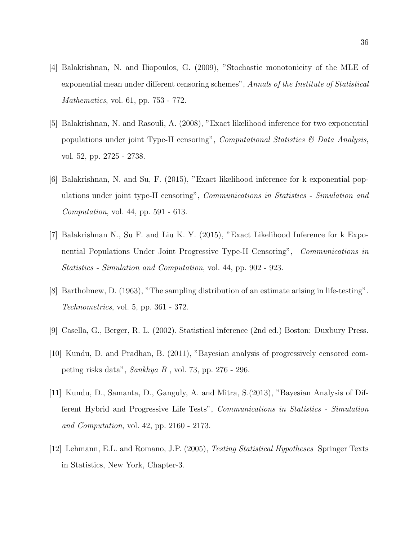- [4] Balakrishnan, N. and Iliopoulos, G. (2009), "Stochastic monotonicity of the MLE of exponential mean under different censoring schemes", Annals of the Institute of Statistical Mathematics, vol. 61, pp. 753 - 772.
- [5] Balakrishnan, N. and Rasouli, A. (2008), "Exact likelihood inference for two exponential populations under joint Type-II censoring", *Computational Statistics*  $\mathcal{B}$  *Data Analysis*, vol. 52, pp. 2725 - 2738.
- [6] Balakrishnan, N. and Su, F. (2015), "Exact likelihood inference for k exponential populations under joint type-II censoring", Communications in Statistics - Simulation and Computation, vol. 44, pp. 591 - 613.
- [7] Balakrishnan N., Su F. and Liu K. Y. (2015), "Exact Likelihood Inference for k Exponential Populations Under Joint Progressive Type-II Censoring", Communications in Statistics - Simulation and Computation, vol. 44, pp. 902 - 923.
- [8] Bartholmew, D. (1963), "The sampling distribution of an estimate arising in life-testing". Technometrics, vol. 5, pp. 361 - 372.
- [9] Casella, G., Berger, R. L. (2002). Statistical inference (2nd ed.) Boston: Duxbury Press.
- [10] Kundu, D. and Pradhan, B. (2011), "Bayesian analysis of progressively censored competing risks data", Sankhya B , vol. 73, pp. 276 - 296.
- [11] Kundu, D., Samanta, D., Ganguly, A. and Mitra, S.(2013), "Bayesian Analysis of Different Hybrid and Progressive Life Tests", Communications in Statistics - Simulation and Computation, vol. 42, pp. 2160 - 2173.
- [12] Lehmann, E.L. and Romano, J.P. (2005), Testing Statistical Hypotheses Springer Texts in Statistics, New York, Chapter-3.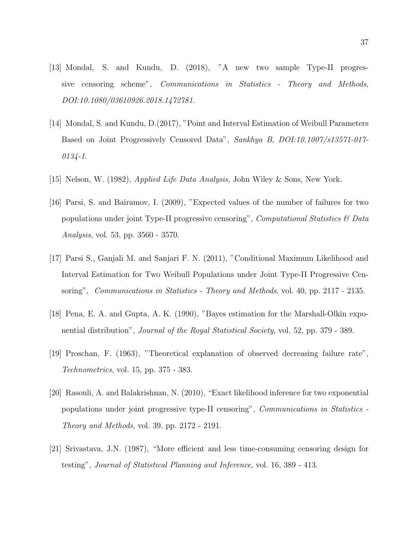- [13] Mondal, S. and Kundu, D. (2018), "A new two sample Type-II progressive censoring scheme", Communications in Statistics - Theory and Methods, DOI:10.1080/03610926.2018.1472781.
- [14] Mondal, S. and Kundu, D.(2017), "Point and Interval Estimation of Weibull Parameters Based on Joint Progressively Censored Data", Sankhya B, DOI:10.1007/s13571-017-  $0134 - 1.$
- [15] Nelson, W. (1982), Applied Life Data Analysis, John Wiley & Sons, New York.
- [16] Parsi, S. and Bairamov, I. (2009), "Expected values of the number of failures for two populations under joint Type-II progressive censoring", *Computational Statistics*  $\mathcal{B}$  Data Analysis, vol. 53, pp. 3560 - 3570.
- [17] Parsi S., Ganjali M. and Sanjari F. N. (2011), "Conditional Maximum Likelihood and Interval Estimation for Two Weibull Populations under Joint Type-II Progressive Censoring", *Communications in Statistics - Theory and Methods*, vol. 40, pp. 2117 - 2135.
- [18] Pena, E. A. and Gupta, A. K. (1990), "Bayes estimation for the Marshall-Olkin exponential distribution", *Journal of the Royal Statistical Society*, vol. 52, pp. 379 - 389.
- [19] Proschan, F. (1963), "Theoretical explanation of observed decreasing failure rate", Technometrics, vol. 15, pp. 375 - 383.
- [20] Rasouli, A. and Balakrishnan, N. (2010), "Exact likelihood inference for two exponential populations under joint progressive type-II censoring", Communications in Statistics - Theory and Methods, vol. 39, pp. 2172 - 2191.
- [21] Srivastava, J.N. (1987), "More efficient and less time-consuming censoring design for testing", Journal of Statistical Planning and Inference, vol. 16, 389 - 413.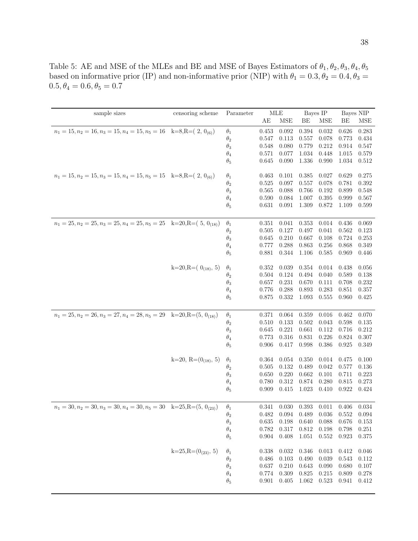Table 5: AE and MSE of the MLEs and BE and MSE of Bayes Estimators of  $\theta_1, \theta_2, \theta_3, \theta_4, \theta_5$ based on informative prior (IP) and non-informative prior (NIP) with  $\theta_1 = 0.3, \theta_2 = 0.4, \theta_3 =$  $0.5, \theta_4=0.6, \theta_5=0.7$ 

| sample sizes                                                                      | censoring scheme         | Parameter  | MLE            |             | Bayes IP  |            | Bayes NIP      |           |
|-----------------------------------------------------------------------------------|--------------------------|------------|----------------|-------------|-----------|------------|----------------|-----------|
|                                                                                   |                          |            | AE             | <b>MSE</b>  | BЕ        | <b>MSE</b> | BЕ             | MSE       |
| $n_1 = 15, n_2 = 16, n_3 = 15, n_4 = 15, n_5 = 16$ k=8,R=(2, 0 <sub>(6)</sub> )   |                          | $\theta_1$ | 0.453          | 0.092       | 0.394     | 0.032      | 0.626          | 0.283     |
|                                                                                   |                          |            | 0.547          | 0.113       | 0.557     | 0.078      | 0.773          | 0.434     |
|                                                                                   |                          | $\theta_2$ | 0.548          | 0.080       | 0.779     | 0.212      |                | 0.547     |
|                                                                                   |                          | $\theta_3$ |                |             | 1.034     |            | 0.914          |           |
|                                                                                   |                          | $\theta_4$ | 0.571<br>0.645 | 0.077       |           | 0.448      | 1.015<br>1.034 | 0.579     |
|                                                                                   |                          | $\theta_5$ |                | 0.090       | 1.336     | 0.990      |                | 0.512     |
| $n_1 = 15, n_2 = 15, n_3 = 15, n_4 = 15, n_5 = 15$ k=8,R=(2, 0 <sub>(6)</sub> )   |                          | $\theta_1$ | 0.463          | 0.101       | 0.385     | 0.027      | 0.629          | 0.275     |
|                                                                                   |                          | $\theta_2$ | 0.525          | 0.097       | 0.557     | 0.078      | 0.781          | 0.392     |
|                                                                                   |                          | $\theta_3$ | 0.565          | 0.088       | 0.766     | 0.192      | 0.899          | 0.548     |
|                                                                                   |                          | $\theta_4$ | 0.590          | 0.084       | 1.007     | 0.395      | 0.999          | 0.567     |
|                                                                                   |                          | $\theta_5$ | 0.631          | 0.091       | 1.309     | 0.872      | 1.109          | 0.599     |
|                                                                                   |                          |            |                |             |           |            |                |           |
| $n_1 = 25, n_2 = 25, n_3 = 25, n_4 = 25, n_5 = 25$ k=20,R=(5, 0 <sub>(18)</sub> ) |                          | $\theta_1$ | 0.351          | 0.041       | 0.353     | 0.014      | 0.436          | 0.069     |
|                                                                                   |                          | $\theta_2$ | 0.505          | 0.127       | 0.497     | 0.041      | 0.562          | 0.123     |
|                                                                                   |                          | $\theta_3$ | 0.645          | 0.210       | 0.667     | 0.108      | 0.724          | 0.253     |
|                                                                                   |                          | $\theta_4$ | 0.777          | 0.288       | 0.863     | 0.256      | 0.868          | 0.349     |
|                                                                                   |                          | $\theta_5$ | 0.881          | 0.344       | 1.106     | 0.585      | 0.969          | 0.446     |
|                                                                                   | k=20,R= $(0_{(18)}, 5)$  |            | 0.352          | 0.039       | 0.354     | 0.014      | 0.438          | 0.056     |
|                                                                                   |                          | $\theta_1$ | 0.504          | 0.124       | 0.494     | 0.040      | 0.589          | 0.138     |
|                                                                                   |                          | $\theta_2$ | 0.657          | 0.231       | 0.670     | 0.111      |                |           |
|                                                                                   |                          | $\theta_3$ | 0.776          | 0.288       |           | 0.283      | 0.708<br>0.851 | 0.232     |
|                                                                                   |                          | $\theta_4$ | 0.875          |             | 0.893     | 0.555      | 0.960          | 0.357     |
|                                                                                   |                          | $\theta_5$ |                | 0.332       | 1.093     |            |                | 0.425     |
| $n_1 = 25, n_2 = 26, n_3 = 27, n_4 = 28, n_5 = 29$ k=20,R=(5, 0 <sub>(18)</sub> ) |                          | $\theta_1$ | 0.371          | 0.064       | 0.359     | 0.016      | 0.462          | 0.070     |
|                                                                                   |                          | $\theta_2$ | 0.510          | 0.133       | 0.502     | 0.043      | 0.598          | 0.135     |
|                                                                                   |                          | $\theta_3$ | 0.645          | 0.221       | 0.661     | 0.112      | 0.716          | 0.212     |
|                                                                                   |                          | $\theta_4$ | 0.773          | $0.316\,$   | 0.831     | 0.226      | 0.824          | 0.307     |
|                                                                                   |                          | $\theta_5$ | 0.906          | 0.417       | 0.998     | 0.386      | 0.925          | 0.349     |
|                                                                                   |                          |            |                |             |           |            |                |           |
|                                                                                   | k=20, R= $(0_{(18)}, 5)$ | $\theta_1$ | 0.364          | 0.054       | 0.350     | 0.014      | 0.475          | 0.100     |
|                                                                                   |                          | $\theta_2$ | 0.505          | $0.132\,$   | 0.489     | 0.042      | 0.577          | 0.136     |
|                                                                                   |                          | $\theta_3$ | 0.650          | 0.220       | 0.662     | 0.101      | 0.711          | 0.223     |
|                                                                                   |                          | $\theta_4$ | 0.780          | $0.312\,$   | 0.874     | 0.280      | 0.815          | 0.273     |
|                                                                                   |                          | $\theta_5$ | 0.909          | 0.415       | 1.023     | 0.410      | 0.922          | 0.424     |
|                                                                                   |                          |            |                |             |           |            |                |           |
| $n_1 = 30, n_2 = 30, n_3 = 30, n_4 = 30, n_5 = 30$ k=25,R=(5, 0 <sub>(23)</sub> ) |                          | $\theta_1$ | 0.341          | 0.030       | 0.393     | 0.011      | 0.406          | 0.034     |
|                                                                                   |                          | $\theta_2$ | 0.482          | 0.094       | 0.489     | 0.036      | 0.552          | 0.094     |
|                                                                                   |                          | $\theta_3$ | 0.635          | 0.198       | 0.640     | 0.088      | 0.676          | 0.153     |
|                                                                                   |                          | $\theta_4$ | 0.782          | 0.317       | 0.812     | 0.198      | 0.798          | 0.251     |
|                                                                                   |                          | $\theta_5$ | 0.904          | 0.408       | 1.051     | 0.552      | 0.923          | 0.375     |
|                                                                                   | $k=25, R=(0_{(23)}, 5)$  | $\theta_1$ | 0.338          | $\,0.032\,$ | 0.346     | 0.013      | 0.412          | 0.046     |
|                                                                                   |                          | $\theta_2$ | 0.486          | 0.103       | 0.490     | 0.039      | 0.543          | 0.112     |
|                                                                                   |                          | $\theta_3$ | 0.637          | 0.210       | 0.643     | 0.090      | 0.680          | $0.107\,$ |
|                                                                                   |                          | $\theta_4$ | $0.774\,$      | 0.309       | 0.825     | 0.215      | 0.809          | 0.278     |
|                                                                                   |                          | $\theta_5$ | 0.901          | 0.405       | $1.062\,$ | 0.523      | 0.941          | 0.412     |
|                                                                                   |                          |            |                |             |           |            |                |           |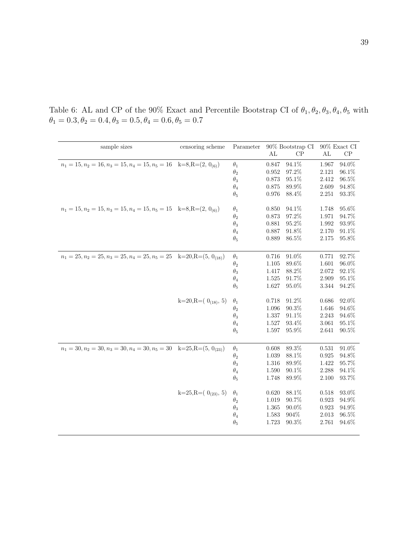| sample sizes                                                                      | censoring scheme        | Parameter  |           | 90% Bootstrap CI | $90\%$ Exact CI |          |  |
|-----------------------------------------------------------------------------------|-------------------------|------------|-----------|------------------|-----------------|----------|--|
|                                                                                   |                         |            | AL        | CP               | AL              | CP       |  |
| $n_1 = 15, n_2 = 16, n_3 = 15, n_4 = 15, n_5 = 16$ k=8,R=(2, 0 <sub>(6)</sub> )   |                         | $\theta_1$ | 0.847     | $94.1\%$         | 1.967           | 94.0%    |  |
|                                                                                   |                         | $\theta_2$ | 0.952     | 97.2%            | 2.121           | 96.1%    |  |
|                                                                                   |                         | $\theta_3$ | 0.873     | 95.1%            | 2.412           | 96.5%    |  |
|                                                                                   |                         | $\theta_4$ | 0.875     | 89.9%            | 2.609           | 94.8%    |  |
|                                                                                   |                         | $\theta_5$ | 0.976     | 88.4\%           | 2.251           | 93.3\%   |  |
| $n_1 = 15, n_2 = 15, n_3 = 15, n_4 = 15, n_5 = 15$ k=8,R=(2, 0 <sub>(6)</sub> )   |                         | $\theta_1$ | 0.850     | 94.1%            | 1.748           | 95.6%    |  |
|                                                                                   |                         | $\theta_2$ | 0.873     | 97.2%            | 1.971           | 94.7%    |  |
|                                                                                   |                         | $\theta_3$ | 0.881     | 95.2%            | 1.992           | 93.9%    |  |
|                                                                                   |                         | $\theta_4$ | 0.887     | 91.8%            | 2.170           | 91.1\%   |  |
|                                                                                   |                         | $\theta_5$ | 0.889     | 86.5%            | 2.175           | 95.8%    |  |
| $n_1 = 25, n_2 = 25, n_3 = 25, n_4 = 25, n_5 = 25$ k=20,R=(5, 0 <sub>(18)</sub> ) |                         | $\theta_1$ | 0.716     | 91.0%            | 0.771           | 92.7%    |  |
|                                                                                   |                         | $\theta_2$ | 1.105     | 89.6%            | 1.601           | 96.0%    |  |
|                                                                                   |                         | $\theta_3$ | 1.417     | 88.2%            | 2.072           | 92.1%    |  |
|                                                                                   |                         | $\theta_4$ | 1.525     | 91.7%            | 2.909           | 95.1%    |  |
|                                                                                   |                         | $\theta_5$ | 1.627     | 95.0%            | 3.344           | 94.2%    |  |
|                                                                                   | k=20,R= $(0_{(18)}, 5)$ | $\theta_1$ | 0.718     | 91.2%            | 0.686           | 92.0%    |  |
|                                                                                   |                         | $\theta_2$ | 1.096     | 90.3%            | 1.646           | 94.6%    |  |
|                                                                                   |                         | $\theta_3$ | 1.337     | 91.1%            | 2.243           | 94.6%    |  |
|                                                                                   |                         | $\theta_4$ | 1.527     | 93.4%            | 3.061           | 95.1%    |  |
|                                                                                   |                         | $\theta_5$ | $1.597\,$ | 95.9%            | 2.641           | $90.5\%$ |  |
| $n_1 = 30, n_2 = 30, n_3 = 30, n_4 = 30, n_5 = 30$ k=25,R=(5, 0 <sub>(23)</sub> ) |                         | $\theta_1$ | 0.608     | 89.3%            | 0.531           | $91.0\%$ |  |
|                                                                                   |                         | $\theta_2$ | 1.039     | $88.1\%$         | 0.925           | 94.8%    |  |
|                                                                                   |                         | $\theta_3$ | 1.316     | 89.9%            | 1.422           | 95.7%    |  |
|                                                                                   |                         | $\theta_4$ | 1.590     | 90.1%            | 2.288           | 94.1%    |  |
|                                                                                   |                         | $\theta_5$ | 1.748     | 89.9%            | 2.100           | 93.7%    |  |
|                                                                                   | $k=25, R=(0_{(23)}, 5)$ | $\theta_1$ | 0.620     | 88.1%            | 0.518           | 93.0%    |  |
|                                                                                   |                         | $\theta_2$ | 1.019     | 90.7%            | 0.923           | 94.9%    |  |
|                                                                                   |                         | $\theta_3$ | 1.365     | $90.0\%$         | 0.923           | 94.9%    |  |
|                                                                                   |                         | $\theta_4$ | 1.583     | 904\%            | 2.013           | 96.5%    |  |
|                                                                                   |                         | $\theta_5$ | 1.723     | 90.3%            | 2.761           | 94.6%    |  |
|                                                                                   |                         |            |           |                  |                 |          |  |

Table 6: AL and CP of the 90% Exact and Percentile Bootstrap CI of  $\theta_1, \theta_2, \theta_3, \theta_4, \theta_5$  with  $\theta_1 = 0.3, \theta_2 = 0.4, \theta_3 = 0.5, \theta_4 = 0.6, \theta_5 = 0.7$